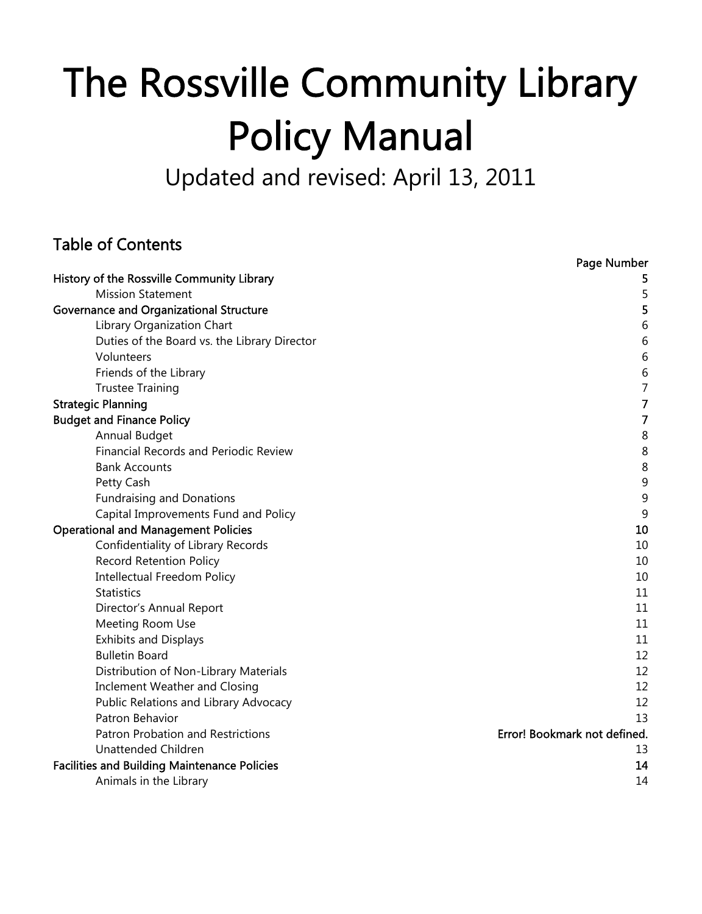# **The Rossville Community Library Policy Manual**

Updated and revised: April 13, 2011

# **Table of Contents**

|                                                     | Page Number                  |
|-----------------------------------------------------|------------------------------|
| History of the Rossville Community Library          |                              |
| <b>Mission Statement</b>                            | 5                            |
| <b>Governance and Organizational Structure</b>      | 5                            |
| Library Organization Chart                          | 6                            |
| Duties of the Board vs. the Library Director        | 6                            |
| Volunteers                                          | 6                            |
| Friends of the Library                              | 6                            |
| <b>Trustee Training</b>                             | 7                            |
| <b>Strategic Planning</b>                           | $\overline{7}$               |
| <b>Budget and Finance Policy</b>                    | 7                            |
| Annual Budget                                       | 8                            |
| Financial Records and Periodic Review               | 8                            |
| <b>Bank Accounts</b>                                | 8                            |
| Petty Cash                                          | 9                            |
| <b>Fundraising and Donations</b>                    | 9                            |
| Capital Improvements Fund and Policy                | 9                            |
| <b>Operational and Management Policies</b>          | 10                           |
| Confidentiality of Library Records                  | 10                           |
| <b>Record Retention Policy</b>                      | 10                           |
| <b>Intellectual Freedom Policy</b>                  | 10                           |
| <b>Statistics</b>                                   | 11                           |
| Director's Annual Report                            | 11                           |
| Meeting Room Use                                    | 11                           |
| <b>Exhibits and Displays</b>                        | 11                           |
| <b>Bulletin Board</b>                               | 12                           |
| Distribution of Non-Library Materials               | 12                           |
| Inclement Weather and Closing                       | 12                           |
| Public Relations and Library Advocacy               | 12                           |
| Patron Behavior                                     | 13                           |
| Patron Probation and Restrictions                   | Error! Bookmark not defined. |
| Unattended Children                                 | 13                           |
| <b>Facilities and Building Maintenance Policies</b> | 14                           |
| Animals in the Library                              | 14                           |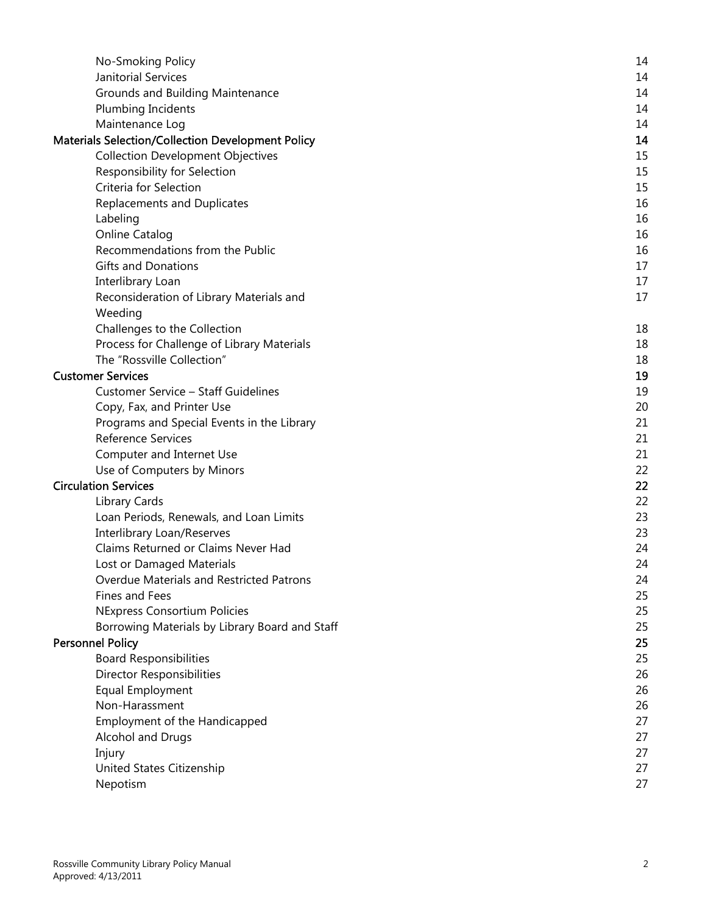| No-Smoking Policy                                 | 14 |
|---------------------------------------------------|----|
| Janitorial Services                               | 14 |
| Grounds and Building Maintenance                  | 14 |
| Plumbing Incidents                                | 14 |
| Maintenance Log                                   | 14 |
| Materials Selection/Collection Development Policy | 14 |
| <b>Collection Development Objectives</b>          | 15 |
| Responsibility for Selection                      | 15 |
| Criteria for Selection                            | 15 |
| Replacements and Duplicates                       | 16 |
| Labeling                                          | 16 |
| Online Catalog                                    | 16 |
| Recommendations from the Public                   | 16 |
| <b>Gifts and Donations</b>                        | 17 |
| Interlibrary Loan                                 | 17 |
| Reconsideration of Library Materials and          | 17 |
| Weeding                                           |    |
| Challenges to the Collection                      | 18 |
| Process for Challenge of Library Materials        | 18 |
| The "Rossville Collection"                        | 18 |
| <b>Customer Services</b>                          | 19 |
| Customer Service - Staff Guidelines               | 19 |
| Copy, Fax, and Printer Use                        | 20 |
| Programs and Special Events in the Library        | 21 |
| Reference Services                                | 21 |
| Computer and Internet Use                         | 21 |
| Use of Computers by Minors                        | 22 |
| <b>Circulation Services</b>                       | 22 |
| Library Cards                                     | 22 |
| Loan Periods, Renewals, and Loan Limits           | 23 |
| Interlibrary Loan/Reserves                        | 23 |
| Claims Returned or Claims Never Had               | 24 |
| Lost or Damaged Materials                         | 24 |
| Overdue Materials and Restricted Patrons          | 24 |
| Fines and Fees                                    | 25 |
| <b>NExpress Consortium Policies</b>               | 25 |
| Borrowing Materials by Library Board and Staff    | 25 |
| <b>Personnel Policy</b>                           | 25 |
| <b>Board Responsibilities</b>                     | 25 |
| Director Responsibilities                         | 26 |
| Equal Employment                                  | 26 |
| Non-Harassment                                    | 26 |
| <b>Employment of the Handicapped</b>              | 27 |
| Alcohol and Drugs                                 | 27 |
| Injury                                            | 27 |
| United States Citizenship                         | 27 |
| Nepotism                                          | 27 |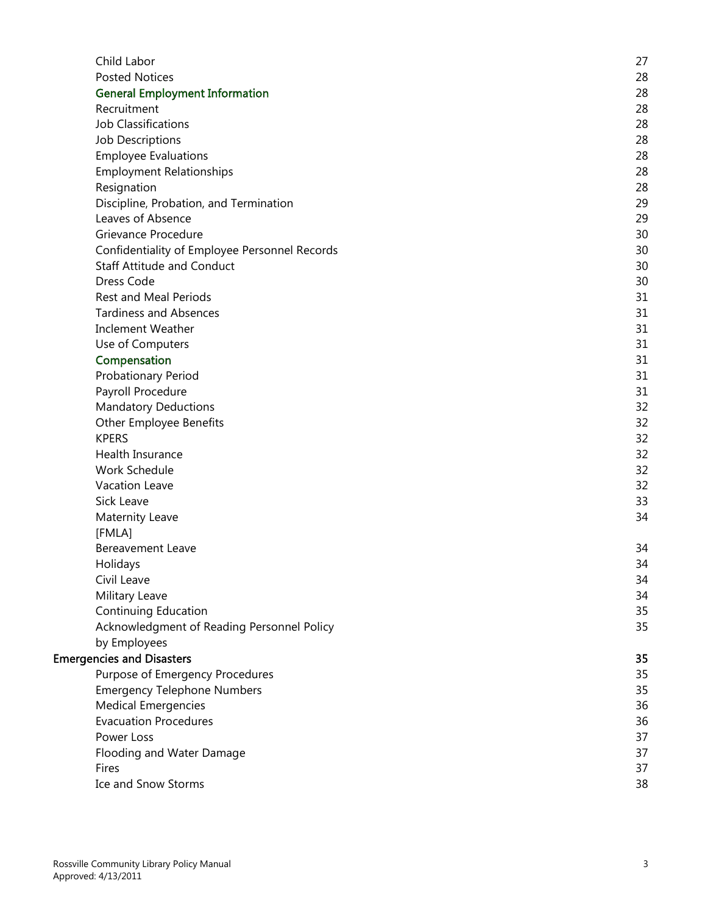| Child Labor                                   | 27 |
|-----------------------------------------------|----|
| <b>Posted Notices</b>                         | 28 |
| <b>General Employment Information</b>         | 28 |
| Recruitment                                   | 28 |
| <b>Job Classifications</b>                    | 28 |
| Job Descriptions                              | 28 |
| <b>Employee Evaluations</b>                   | 28 |
| <b>Employment Relationships</b>               | 28 |
| Resignation                                   | 28 |
| Discipline, Probation, and Termination        | 29 |
| Leaves of Absence                             | 29 |
| Grievance Procedure                           | 30 |
| Confidentiality of Employee Personnel Records | 30 |
| <b>Staff Attitude and Conduct</b>             | 30 |
| Dress Code                                    | 30 |
| <b>Rest and Meal Periods</b>                  | 31 |
| <b>Tardiness and Absences</b>                 | 31 |
| <b>Inclement Weather</b>                      | 31 |
| Use of Computers                              | 31 |
| Compensation                                  | 31 |
| Probationary Period                           | 31 |
| Payroll Procedure                             | 31 |
| <b>Mandatory Deductions</b>                   | 32 |
| Other Employee Benefits                       | 32 |
| <b>KPERS</b>                                  | 32 |
| Health Insurance                              | 32 |
| Work Schedule                                 | 32 |
| Vacation Leave                                | 32 |
| Sick Leave                                    | 33 |
| Maternity Leave                               | 34 |
| [FMLA]                                        |    |
| <b>Bereavement Leave</b>                      | 34 |
| Holidays                                      | 34 |
| Civil Leave                                   | 34 |
| Military Leave                                | 34 |
| <b>Continuing Education</b>                   | 35 |
| Acknowledgment of Reading Personnel Policy    | 35 |
| by Employees                                  |    |
| <b>Emergencies and Disasters</b>              | 35 |
| Purpose of Emergency Procedures               | 35 |
| <b>Emergency Telephone Numbers</b>            | 35 |
| <b>Medical Emergencies</b>                    | 36 |
| <b>Evacuation Procedures</b>                  | 36 |
| Power Loss                                    | 37 |
| Flooding and Water Damage                     | 37 |
| Fires                                         | 37 |
| Ice and Snow Storms                           | 38 |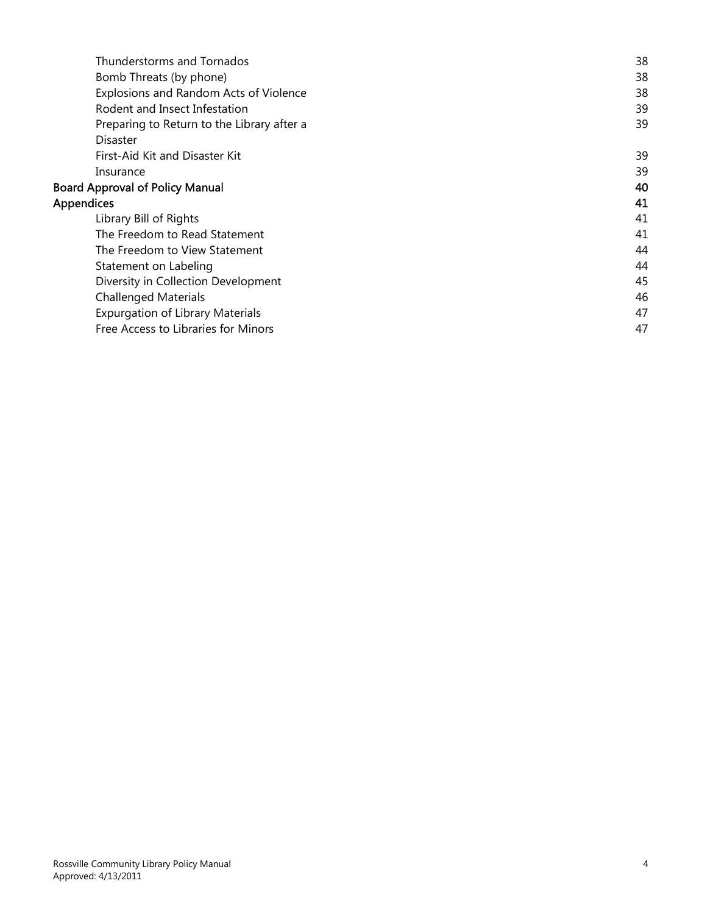| Thunderstorms and Tornados                 | 38 |
|--------------------------------------------|----|
| Bomb Threats (by phone)                    | 38 |
| Explosions and Random Acts of Violence     | 38 |
| Rodent and Insect Infestation              | 39 |
| Preparing to Return to the Library after a | 39 |
| <b>Disaster</b>                            |    |
| First-Aid Kit and Disaster Kit             | 39 |
| Insurance                                  | 39 |
| <b>Board Approval of Policy Manual</b>     | 40 |
| <b>Appendices</b>                          | 41 |
| Library Bill of Rights                     | 41 |
| The Freedom to Read Statement              | 41 |
| The Freedom to View Statement              | 44 |
| Statement on Labeling                      | 44 |
| Diversity in Collection Development        | 45 |
| <b>Challenged Materials</b>                | 46 |
| <b>Expurgation of Library Materials</b>    | 47 |
| Free Access to Libraries for Minors        | 47 |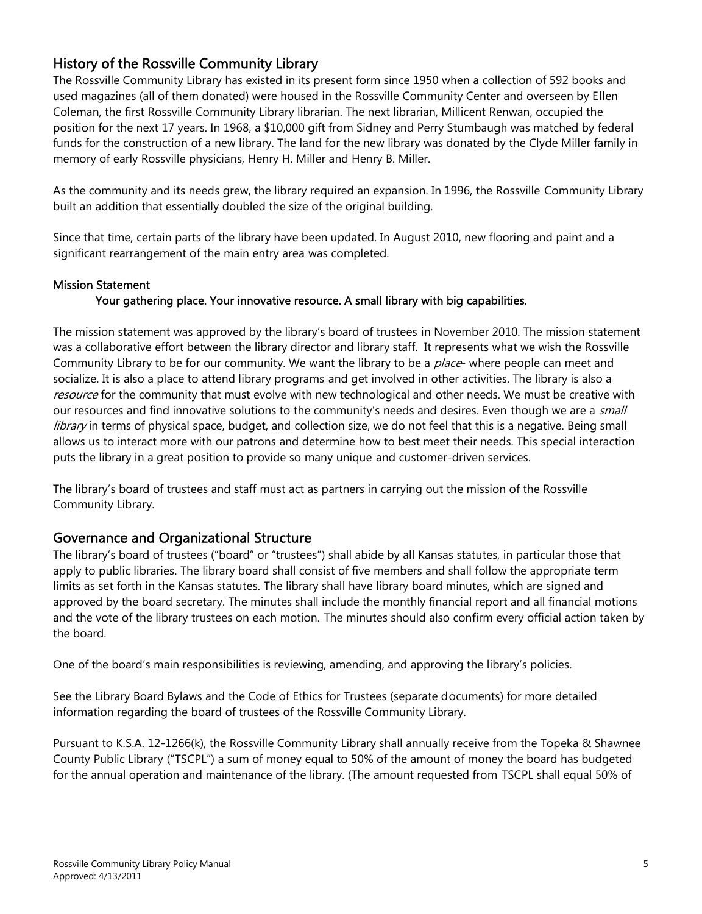# **History of the Rossville Community Library**

The Rossville Community Library has existed in its present form since 1950 when a collection of 592 books and used magazines (all of them donated) were housed in the Rossville Community Center and overseen by Ellen Coleman, the first Rossville Community Library librarian. The next librarian, Millicent Renwan, occupied the position for the next 17 years. In 1968, a \$10,000 gift from Sidney and Perry Stumbaugh was matched by federal funds for the construction of a new library. The land for the new library was donated by the Clyde Miller family in memory of early Rossville physicians, Henry H. Miller and Henry B. Miller.

As the community and its needs grew, the library required an expansion. In 1996, the Rossville Community Library built an addition that essentially doubled the size of the original building.

Since that time, certain parts of the library have been updated. In August 2010, new flooring and paint and a significant rearrangement of the main entry area was completed.

# **Mission Statement**

# **Your gathering place. Your innovative resource. A small library with big capabilities.**

The mission statement was approved by the library's board of trustees in November 2010. The mission statement was a collaborative effort between the library director and library staff. It represents what we wish the Rossville Community Library to be for our community. We want the library to be a *place*- where people can meet and socialize. It is also a place to attend library programs and get involved in other activities. The library is also a *resource* for the community that must evolve with new technological and other needs. We must be creative with our resources and find innovative solutions to the community's needs and desires. Even though we are a *small library* in terms of physical space, budget, and collection size, we do not feel that this is a negative. Being small allows us to interact more with our patrons and determine how to best meet their needs. This special interaction puts the library in a great position to provide so many unique and customer-driven services.

The library's board of trustees and staff must act as partners in carrying out the mission of the Rossville Community Library.

# **Governance and Organizational Structure**

The library's board of trustees ("board" or "trustees") shall abide by all Kansas statutes, in particular those that apply to public libraries. The library board shall consist of five members and shall follow the appropriate term limits as set forth in the Kansas statutes. The library shall have library board minutes, which are signed and approved by the board secretary. The minutes shall include the monthly financial report and all financial motions and the vote of the library trustees on each motion. The minutes should also confirm every official action taken by the board.

One of the board's main responsibilities is reviewing, amending, and approving the library's policies.

See the Library Board Bylaws and the Code of Ethics for Trustees (separate documents) for more detailed information regarding the board of trustees of the Rossville Community Library.

Pursuant to K.S.A. 12-1266(k), the Rossville Community Library shall annually receive from the Topeka & Shawnee County Public Library ("TSCPL") a sum of money equal to 50% of the amount of money the board has budgeted for the annual operation and maintenance of the library. (The amount requested from TSCPL shall equal 50% of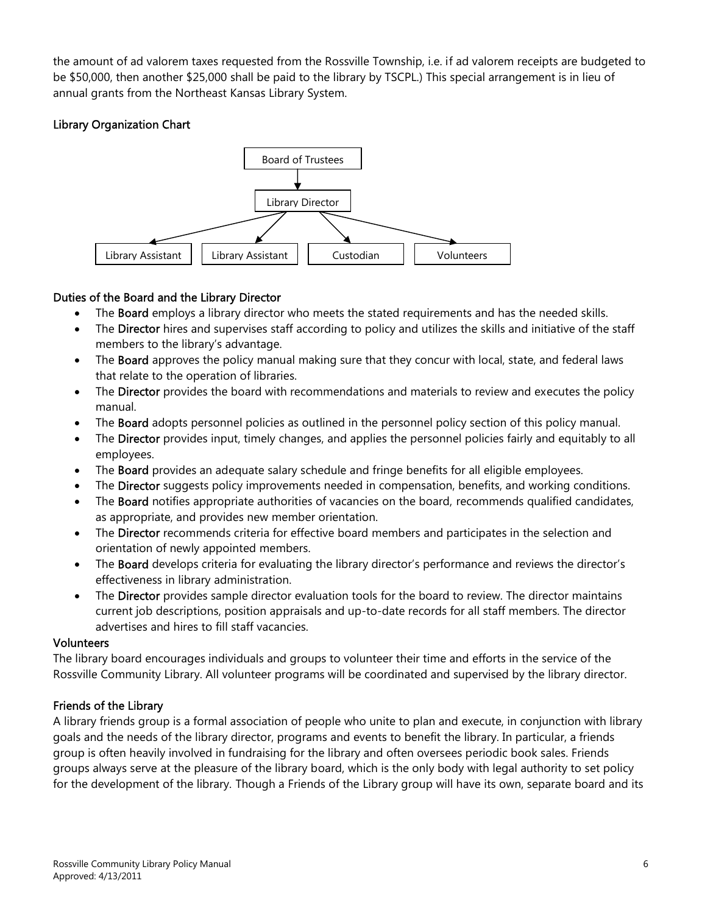the amount of ad valorem taxes requested from the Rossville Township, i.e. if ad valorem receipts are budgeted to be \$50,000, then another \$25,000 shall be paid to the library by TSCPL.) This special arrangement is in lieu of annual grants from the Northeast Kansas Library System.

# **Library Organization Chart**



# **Duties of the Board and the Library Director**

- The **Board** employs a library director who meets the stated requirements and has the needed skills.
- The **Director** hires and supervises staff according to policy and utilizes the skills and initiative of the staff members to the library's advantage.
- The **Board** approves the policy manual making sure that they concur with local, state, and federal laws that relate to the operation of libraries.
- The **Director** provides the board with recommendations and materials to review and executes the policy manual.
- The **Board** adopts personnel policies as outlined in the personnel policy section of this policy manual.
- The **Director** provides input, timely changes, and applies the personnel policies fairly and equitably to all employees.
- The **Board** provides an adequate salary schedule and fringe benefits for all eligible employees.
- The **Director** suggests policy improvements needed in compensation, benefits, and working conditions.
- The **Board** notifies appropriate authorities of vacancies on the board, recommends qualified candidates, as appropriate, and provides new member orientation.
- The **Director** recommends criteria for effective board members and participates in the selection and orientation of newly appointed members.
- The **Board** develops criteria for evaluating the library director's performance and reviews the director's effectiveness in library administration.
- The **Director** provides sample director evaluation tools for the board to review. The director maintains current job descriptions, position appraisals and up-to-date records for all staff members. The director advertises and hires to fill staff vacancies.

#### **Volunteers**

The library board encourages individuals and groups to volunteer their time and efforts in the service of the Rossville Community Library. All volunteer programs will be coordinated and supervised by the library director.

# **Friends of the Library**

A library friends group is a formal association of people who unite to plan and execute, in conjunction with library goals and the needs of the library director, programs and events to benefit the library. In particular, a friends group is often heavily involved in fundraising for the library and often oversees periodic book sales. Friends groups always serve at the pleasure of the library board, which is the only body with legal authority to set policy for the development of the library. Though a Friends of the Library group will have its own, separate board and its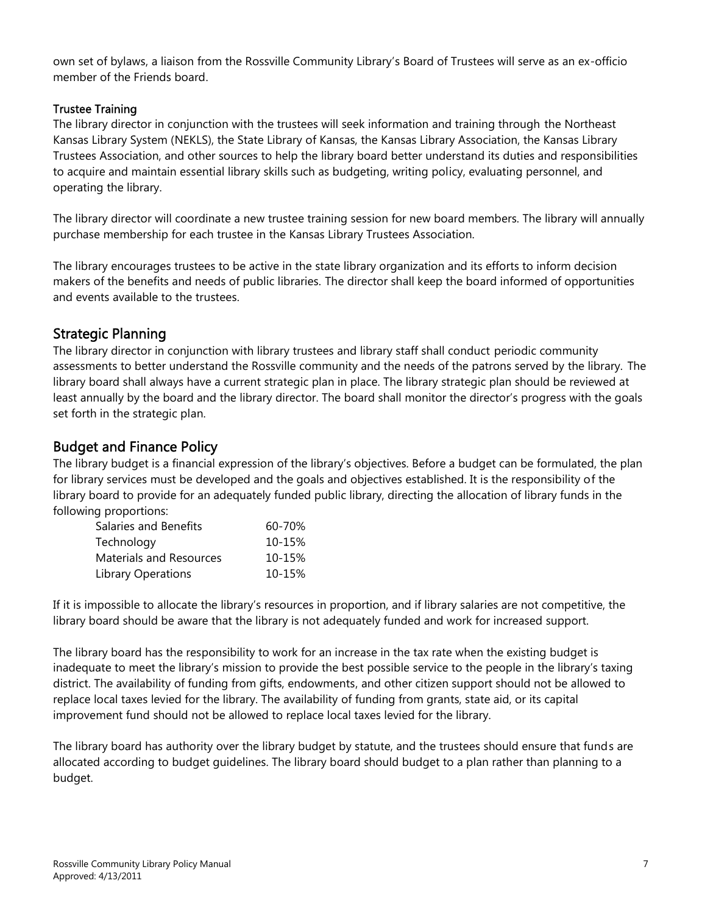own set of bylaws, a liaison from the Rossville Community Library's Board of Trustees will serve as an ex-officio member of the Friends board.

# **Trustee Training**

The library director in conjunction with the trustees will seek information and training through the Northeast Kansas Library System (NEKLS), the State Library of Kansas, the Kansas Library Association, the Kansas Library Trustees Association, and other sources to help the library board better understand its duties and responsibilities to acquire and maintain essential library skills such as budgeting, writing policy, evaluating personnel, and operating the library.

The library director will coordinate a new trustee training session for new board members. The library will annually purchase membership for each trustee in the Kansas Library Trustees Association.

The library encourages trustees to be active in the state library organization and its efforts to inform decision makers of the benefits and needs of public libraries. The director shall keep the board informed of opportunities and events available to the trustees.

# **Strategic Planning**

The library director in conjunction with library trustees and library staff shall conduct periodic community assessments to better understand the Rossville community and the needs of the patrons served by the library. The library board shall always have a current strategic plan in place. The library strategic plan should be reviewed at least annually by the board and the library director. The board shall monitor the director's progress with the goals set forth in the strategic plan.

# **Budget and Finance Policy**

The library budget is a financial expression of the library's objectives. Before a budget can be formulated, the plan for library services must be developed and the goals and objectives established. It is the responsibility of the library board to provide for an adequately funded public library, directing the allocation of library funds in the following proportions:

| Salaries and Benefits   | 60-70% |
|-------------------------|--------|
| Technology              | 10-15% |
| Materials and Resources | 10-15% |
| Library Operations      | 10-15% |

If it is impossible to allocate the library's resources in proportion, and if library salaries are not competitive, the library board should be aware that the library is not adequately funded and work for increased support.

The library board has the responsibility to work for an increase in the tax rate when the existing budget is inadequate to meet the library's mission to provide the best possible service to the people in the library's taxing district. The availability of funding from gifts, endowments, and other citizen support should not be allowed to replace local taxes levied for the library. The availability of funding from grants, state aid, or its capital improvement fund should not be allowed to replace local taxes levied for the library.

The library board has authority over the library budget by statute, and the trustees should ensure that funds are allocated according to budget guidelines. The library board should budget to a plan rather than planning to a budget.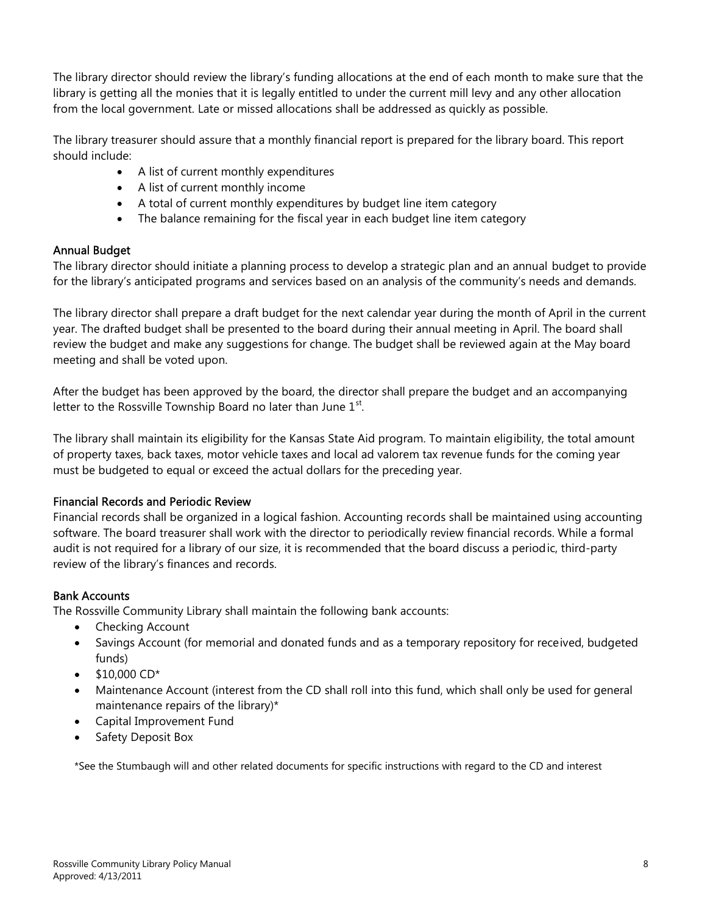The library director should review the library's funding allocations at the end of each month to make sure that the library is getting all the monies that it is legally entitled to under the current mill levy and any other allocation from the local government. Late or missed allocations shall be addressed as quickly as possible.

The library treasurer should assure that a monthly financial report is prepared for the library board. This report should include:

- A list of current monthly expenditures
- A list of current monthly income
- A total of current monthly expenditures by budget line item category
- The balance remaining for the fiscal year in each budget line item category

#### **Annual Budget**

The library director should initiate a planning process to develop a strategic plan and an annual budget to provide for the library's anticipated programs and services based on an analysis of the community's needs and demands.

The library director shall prepare a draft budget for the next calendar year during the month of April in the current year. The drafted budget shall be presented to the board during their annual meeting in April. The board shall review the budget and make any suggestions for change. The budget shall be reviewed again at the May board meeting and shall be voted upon.

After the budget has been approved by the board, the director shall prepare the budget and an accompanying letter to the Rossville Township Board no later than June  $1<sup>st</sup>$ .

The library shall maintain its eligibility for the Kansas State Aid program. To maintain eligibility, the total amount of property taxes, back taxes, motor vehicle taxes and local ad valorem tax revenue funds for the coming year must be budgeted to equal or exceed the actual dollars for the preceding year.

#### **Financial Records and Periodic Review**

Financial records shall be organized in a logical fashion. Accounting records shall be maintained using accounting software. The board treasurer shall work with the director to periodically review financial records. While a formal audit is not required for a library of our size, it is recommended that the board discuss a periodic, third-party review of the library's finances and records.

#### **Bank Accounts**

The Rossville Community Library shall maintain the following bank accounts:

- Checking Account
- Savings Account (for memorial and donated funds and as a temporary repository for received, budgeted funds)
- $\bullet$  \$10,000 CD\*
- Maintenance Account (interest from the CD shall roll into this fund, which shall only be used for general maintenance repairs of the library)\*
- Capital Improvement Fund
- Safety Deposit Box

\*See the Stumbaugh will and other related documents for specific instructions with regard to the CD and interest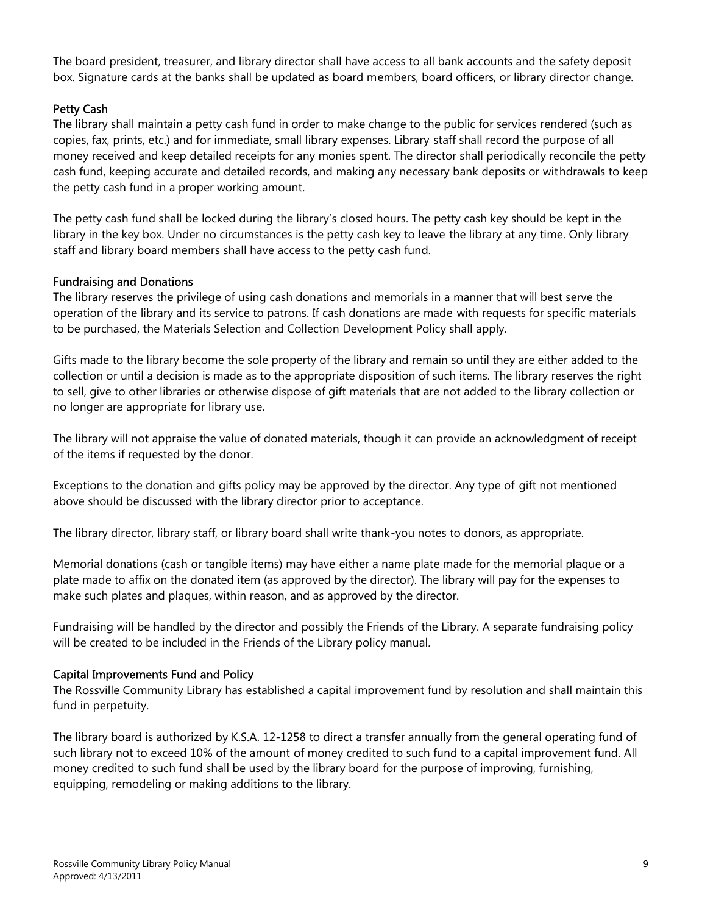The board president, treasurer, and library director shall have access to all bank accounts and the safety deposit box. Signature cards at the banks shall be updated as board members, board officers, or library director change.

#### **Petty Cash**

The library shall maintain a petty cash fund in order to make change to the public for services rendered (such as copies, fax, prints, etc.) and for immediate, small library expenses. Library staff shall record the purpose of all money received and keep detailed receipts for any monies spent. The director shall periodically reconcile the petty cash fund, keeping accurate and detailed records, and making any necessary bank deposits or withdrawals to keep the petty cash fund in a proper working amount.

The petty cash fund shall be locked during the library's closed hours. The petty cash key should be kept in the library in the key box. Under no circumstances is the petty cash key to leave the library at any time. Only library staff and library board members shall have access to the petty cash fund.

# **Fundraising and Donations**

The library reserves the privilege of using cash donations and memorials in a manner that will best serve the operation of the library and its service to patrons. If cash donations are made with requests for specific materials to be purchased, the Materials Selection and Collection Development Policy shall apply.

Gifts made to the library become the sole property of the library and remain so until they are either added to the collection or until a decision is made as to the appropriate disposition of such items. The library reserves the right to sell, give to other libraries or otherwise dispose of gift materials that are not added to the library collection or no longer are appropriate for library use.

The library will not appraise the value of donated materials, though it can provide an acknowledgment of receipt of the items if requested by the donor.

Exceptions to the donation and gifts policy may be approved by the director. Any type of gift not mentioned above should be discussed with the library director prior to acceptance.

The library director, library staff, or library board shall write thank-you notes to donors, as appropriate.

Memorial donations (cash or tangible items) may have either a name plate made for the memorial plaque or a plate made to affix on the donated item (as approved by the director). The library will pay for the expenses to make such plates and plaques, within reason, and as approved by the director.

Fundraising will be handled by the director and possibly the Friends of the Library. A separate fundraising policy will be created to be included in the Friends of the Library policy manual.

#### **Capital Improvements Fund and Policy**

The Rossville Community Library has established a capital improvement fund by resolution and shall maintain this fund in perpetuity.

The library board is authorized by K.S.A. 12-1258 to direct a transfer annually from the general operating fund of such library not to exceed 10% of the amount of money credited to such fund to a capital improvement fund. All money credited to such fund shall be used by the library board for the purpose of improving, furnishing, equipping, remodeling or making additions to the library.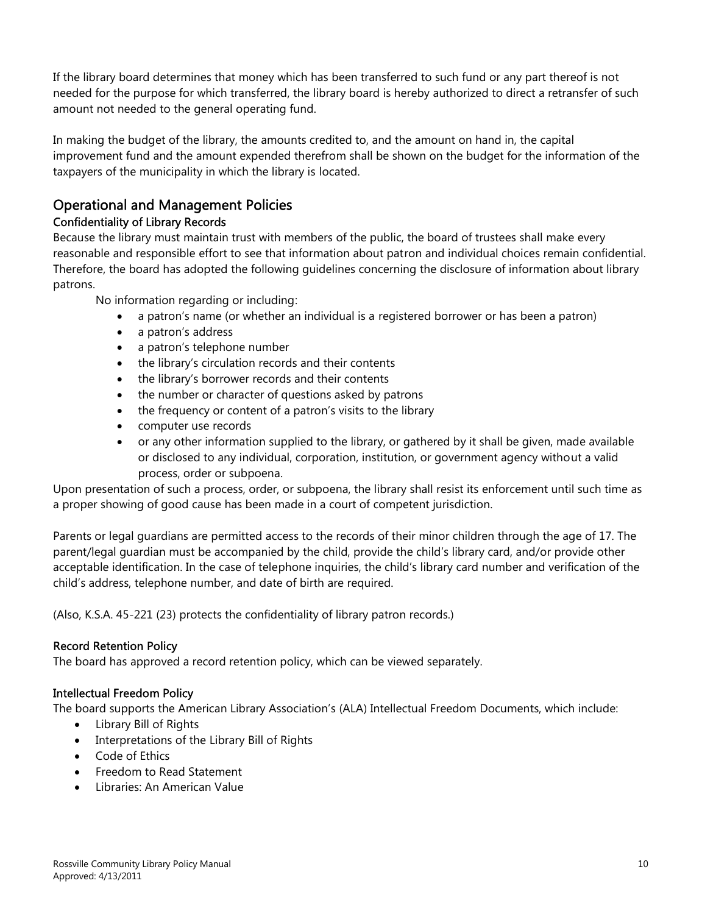If the library board determines that money which has been transferred to such fund or any part thereof is not needed for the purpose for which transferred, the library board is hereby authorized to direct a retransfer of such amount not needed to the general operating fund.

In making the budget of the library, the amounts credited to, and the amount on hand in, the capital improvement fund and the amount expended therefrom shall be shown on the budget for the information of the taxpayers of the municipality in which the library is located.

# **Operational and Management Policies**

# **Confidentiality of Library Records**

Because the library must maintain trust with members of the public, the board of trustees shall make every reasonable and responsible effort to see that information about patron and individual choices remain confidential. Therefore, the board has adopted the following guidelines concerning the disclosure of information about library patrons.

No information regarding or including:

- a patron's name (or whether an individual is a registered borrower or has been a patron)
- a patron's address
- a patron's telephone number
- the library's circulation records and their contents
- the library's borrower records and their contents
- the number or character of questions asked by patrons
- the frequency or content of a patron's visits to the library
- computer use records
- or any other information supplied to the library, or gathered by it shall be given, made available or disclosed to any individual, corporation, institution, or government agency without a valid process, order or subpoena.

Upon presentation of such a process, order, or subpoena, the library shall resist its enforcement until such time as a proper showing of good cause has been made in a court of competent jurisdiction.

Parents or legal guardians are permitted access to the records of their minor children through the age of 17. The parent/legal guardian must be accompanied by the child, provide the child's library card, and/or provide other acceptable identification. In the case of telephone inquiries, the child's library card number and verification of the child's address, telephone number, and date of birth are required.

(Also, K.S.A. 45-221 (23) protects the confidentiality of library patron records.)

#### **Record Retention Policy**

The board has approved a record retention policy, which can be viewed separately.

#### **Intellectual Freedom Policy**

The board supports the American Library Association's (ALA) Intellectual Freedom Documents, which include:

- Library Bill of Rights • Interpretations of the Library Bill of Rights
- Code of Ethics
- Freedom to Read Statement
- Libraries: An American Value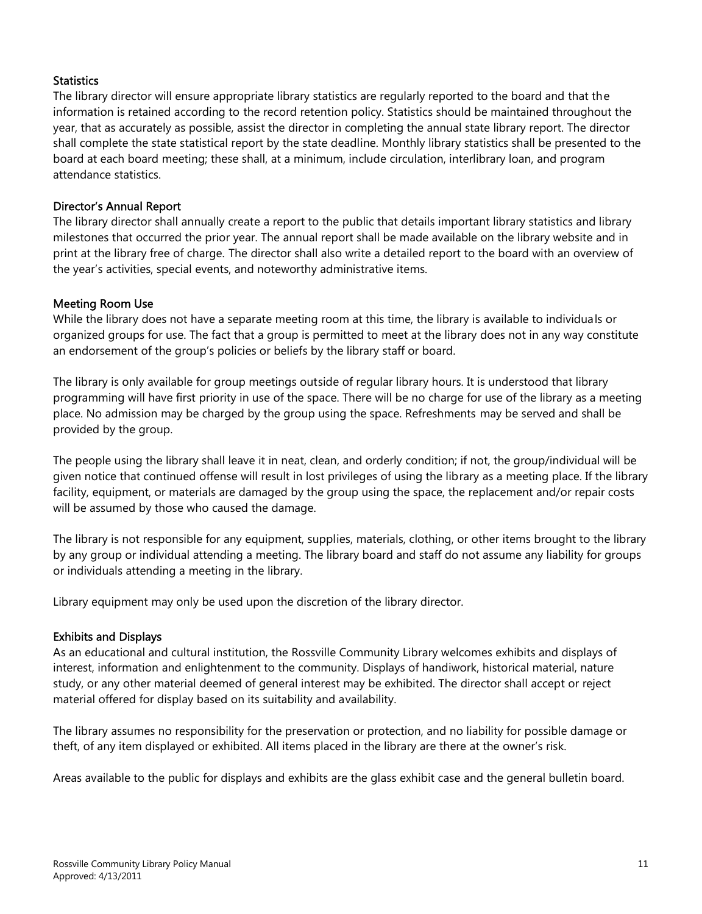#### **Statistics**

The library director will ensure appropriate library statistics are regularly reported to the board and that the information is retained according to the record retention policy. Statistics should be maintained throughout the year, that as accurately as possible, assist the director in completing the annual state library report. The director shall complete the state statistical report by the state deadline. Monthly library statistics shall be presented to the board at each board meeting; these shall, at a minimum, include circulation, interlibrary loan, and program attendance statistics.

#### **Director's Annual Report**

The library director shall annually create a report to the public that details important library statistics and library milestones that occurred the prior year. The annual report shall be made available on the library website and in print at the library free of charge. The director shall also write a detailed report to the board with an overview of the year's activities, special events, and noteworthy administrative items.

#### **Meeting Room Use**

While the library does not have a separate meeting room at this time, the library is available to individuals or organized groups for use. The fact that a group is permitted to meet at the library does not in any way constitute an endorsement of the group's policies or beliefs by the library staff or board.

The library is only available for group meetings outside of regular library hours. It is understood that library programming will have first priority in use of the space. There will be no charge for use of the library as a meeting place. No admission may be charged by the group using the space. Refreshments may be served and shall be provided by the group.

The people using the library shall leave it in neat, clean, and orderly condition; if not, the group/individual will be given notice that continued offense will result in lost privileges of using the library as a meeting place. If the library facility, equipment, or materials are damaged by the group using the space, the replacement and/or repair costs will be assumed by those who caused the damage.

The library is not responsible for any equipment, supplies, materials, clothing, or other items brought to the library by any group or individual attending a meeting. The library board and staff do not assume any liability for groups or individuals attending a meeting in the library.

Library equipment may only be used upon the discretion of the library director.

#### **Exhibits and Displays**

As an educational and cultural institution, the Rossville Community Library welcomes exhibits and displays of interest, information and enlightenment to the community. Displays of handiwork, historical material, nature study, or any other material deemed of general interest may be exhibited. The director shall accept or reject material offered for display based on its suitability and availability.

The library assumes no responsibility for the preservation or protection, and no liability for possible damage or theft, of any item displayed or exhibited. All items placed in the library are there at the owner's risk.

Areas available to the public for displays and exhibits are the glass exhibit case and the general bulletin board.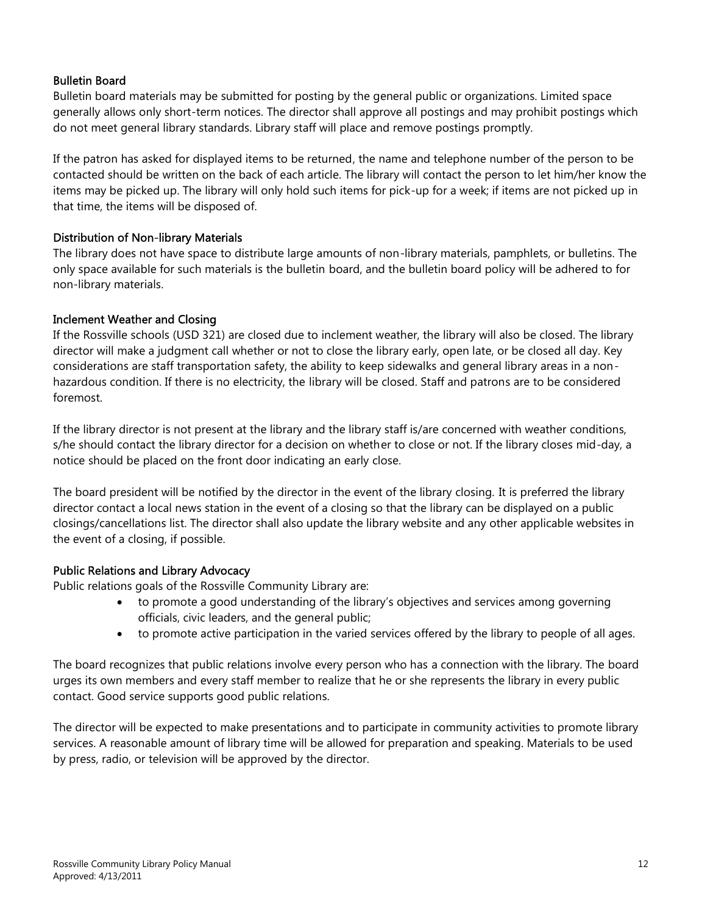#### **Bulletin Board**

Bulletin board materials may be submitted for posting by the general public or organizations. Limited space generally allows only short-term notices. The director shall approve all postings and may prohibit postings which do not meet general library standards. Library staff will place and remove postings promptly.

If the patron has asked for displayed items to be returned, the name and telephone number of the person to be contacted should be written on the back of each article. The library will contact the person to let him/her know the items may be picked up. The library will only hold such items for pick-up for a week; if items are not picked up in that time, the items will be disposed of.

#### **Distribution of Non-library Materials**

The library does not have space to distribute large amounts of non-library materials, pamphlets, or bulletins. The only space available for such materials is the bulletin board, and the bulletin board policy will be adhered to for non-library materials.

# **Inclement Weather and Closing**

If the Rossville schools (USD 321) are closed due to inclement weather, the library will also be closed. The library director will make a judgment call whether or not to close the library early, open late, or be closed all day. Key considerations are staff transportation safety, the ability to keep sidewalks and general library areas in a nonhazardous condition. If there is no electricity, the library will be closed. Staff and patrons are to be considered foremost.

If the library director is not present at the library and the library staff is/are concerned with weather conditions, s/he should contact the library director for a decision on whether to close or not. If the library closes mid-day, a notice should be placed on the front door indicating an early close.

The board president will be notified by the director in the event of the library closing. It is preferred the library director contact a local news station in the event of a closing so that the library can be displayed on a public closings/cancellations list. The director shall also update the library website and any other applicable websites in the event of a closing, if possible.

#### **Public Relations and Library Advocacy**

Public relations goals of the Rossville Community Library are:

- to promote a good understanding of the library's objectives and services among governing officials, civic leaders, and the general public;
- to promote active participation in the varied services offered by the library to people of all ages.

The board recognizes that public relations involve every person who has a connection with the library. The board urges its own members and every staff member to realize that he or she represents the library in every public contact. Good service supports good public relations.

The director will be expected to make presentations and to participate in community activities to promote library services. A reasonable amount of library time will be allowed for preparation and speaking. Materials to be used by press, radio, or television will be approved by the director.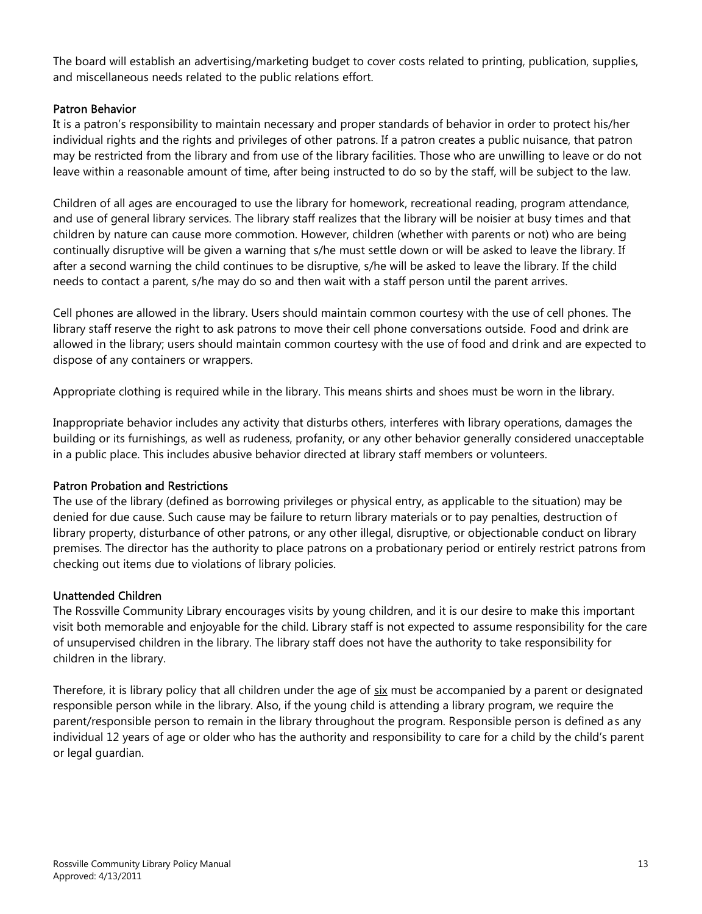The board will establish an advertising/marketing budget to cover costs related to printing, publication, supplies, and miscellaneous needs related to the public relations effort.

### **Patron Behavior**

It is a patron's responsibility to maintain necessary and proper standards of behavior in order to protect his/her individual rights and the rights and privileges of other patrons. If a patron creates a public nuisance, that patron may be restricted from the library and from use of the library facilities. Those who are unwilling to leave or do not leave within a reasonable amount of time, after being instructed to do so by the staff, will be subject to the law.

Children of all ages are encouraged to use the library for homework, recreational reading, program attendance, and use of general library services. The library staff realizes that the library will be noisier at busy times and that children by nature can cause more commotion. However, children (whether with parents or not) who are being continually disruptive will be given a warning that s/he must settle down or will be asked to leave the library. If after a second warning the child continues to be disruptive, s/he will be asked to leave the library. If the child needs to contact a parent, s/he may do so and then wait with a staff person until the parent arrives.

Cell phones are allowed in the library. Users should maintain common courtesy with the use of cell phones. The library staff reserve the right to ask patrons to move their cell phone conversations outside. Food and drink are allowed in the library; users should maintain common courtesy with the use of food and drink and are expected to dispose of any containers or wrappers.

Appropriate clothing is required while in the library. This means shirts and shoes must be worn in the library.

Inappropriate behavior includes any activity that disturbs others, interferes with library operations, damages the building or its furnishings, as well as rudeness, profanity, or any other behavior generally considered unacceptable in a public place. This includes abusive behavior directed at library staff members or volunteers.

# **Patron Probation and Restrictions**

The use of the library (defined as borrowing privileges or physical entry, as applicable to the situation) may be denied for due cause. Such cause may be failure to return library materials or to pay penalties, destruction of library property, disturbance of other patrons, or any other illegal, disruptive, or objectionable conduct on library premises. The director has the authority to place patrons on a probationary period or entirely restrict patrons from checking out items due to violations of library policies.

# **Unattended Children**

The Rossville Community Library encourages visits by young children, and it is our desire to make this important visit both memorable and enjoyable for the child. Library staff is not expected to assume responsibility for the care of unsupervised children in the library. The library staff does not have the authority to take responsibility for children in the library.

Therefore, it is library policy that all children under the age of six must be accompanied by a parent or designated responsible person while in the library. Also, if the young child is attending a library program, we require the parent/responsible person to remain in the library throughout the program. Responsible person is defined as any individual 12 years of age or older who has the authority and responsibility to care for a child by the child's parent or legal guardian.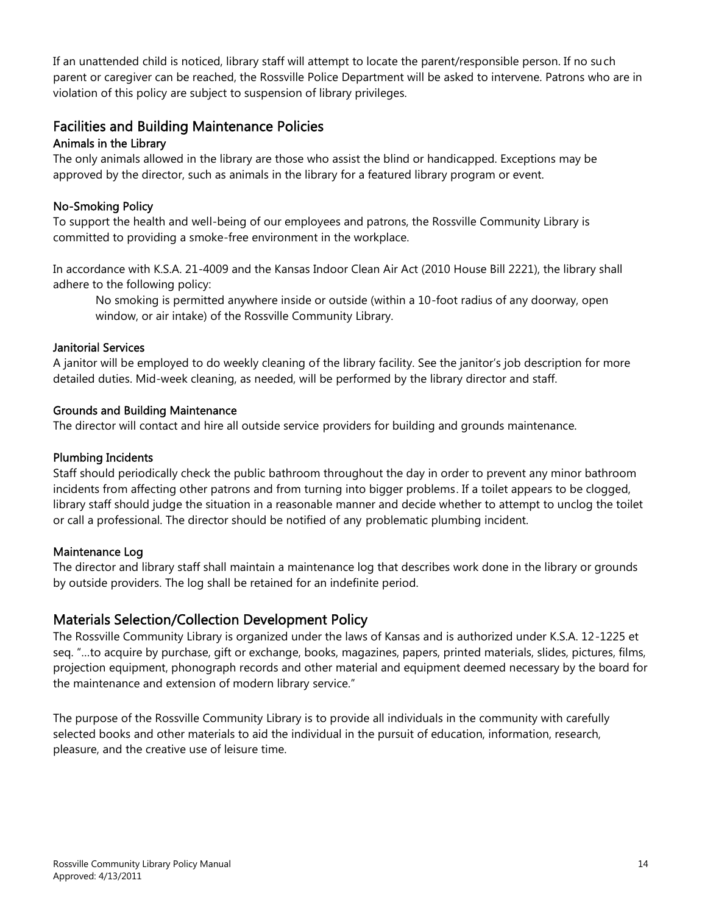If an unattended child is noticed, library staff will attempt to locate the parent/responsible person. If no such parent or caregiver can be reached, the Rossville Police Department will be asked to intervene. Patrons who are in violation of this policy are subject to suspension of library privileges.

# **Facilities and Building Maintenance Policies**

# **Animals in the Library**

The only animals allowed in the library are those who assist the blind or handicapped. Exceptions may be approved by the director, such as animals in the library for a featured library program or event.

# **No-Smoking Policy**

To support the health and well-being of our employees and patrons, the Rossville Community Library is committed to providing a smoke-free environment in the workplace.

In accordance with K.S.A. 21-4009 and the Kansas Indoor Clean Air Act (2010 House Bill 2221), the library shall adhere to the following policy:

No smoking is permitted anywhere inside or outside (within a 10-foot radius of any doorway, open window, or air intake) of the Rossville Community Library.

# **Janitorial Services**

A janitor will be employed to do weekly cleaning of the library facility. See the janitor's job description for more detailed duties. Mid-week cleaning, as needed, will be performed by the library director and staff.

# **Grounds and Building Maintenance**

The director will contact and hire all outside service providers for building and grounds maintenance.

### **Plumbing Incidents**

Staff should periodically check the public bathroom throughout the day in order to prevent any minor bathroom incidents from affecting other patrons and from turning into bigger problems. If a toilet appears to be clogged, library staff should judge the situation in a reasonable manner and decide whether to attempt to unclog the toilet or call a professional. The director should be notified of any problematic plumbing incident.

# **Maintenance Log**

The director and library staff shall maintain a maintenance log that describes work done in the library or grounds by outside providers. The log shall be retained for an indefinite period.

# **Materials Selection/Collection Development Policy**

The Rossville Community Library is organized under the laws of Kansas and is authorized under K.S.A. 12-1225 et seq. "…to acquire by purchase, gift or exchange, books, magazines, papers, printed materials, slides, pictures, films, projection equipment, phonograph records and other material and equipment deemed necessary by the board for the maintenance and extension of modern library service."

The purpose of the Rossville Community Library is to provide all individuals in the community with carefully selected books and other materials to aid the individual in the pursuit of education, information, research, pleasure, and the creative use of leisure time.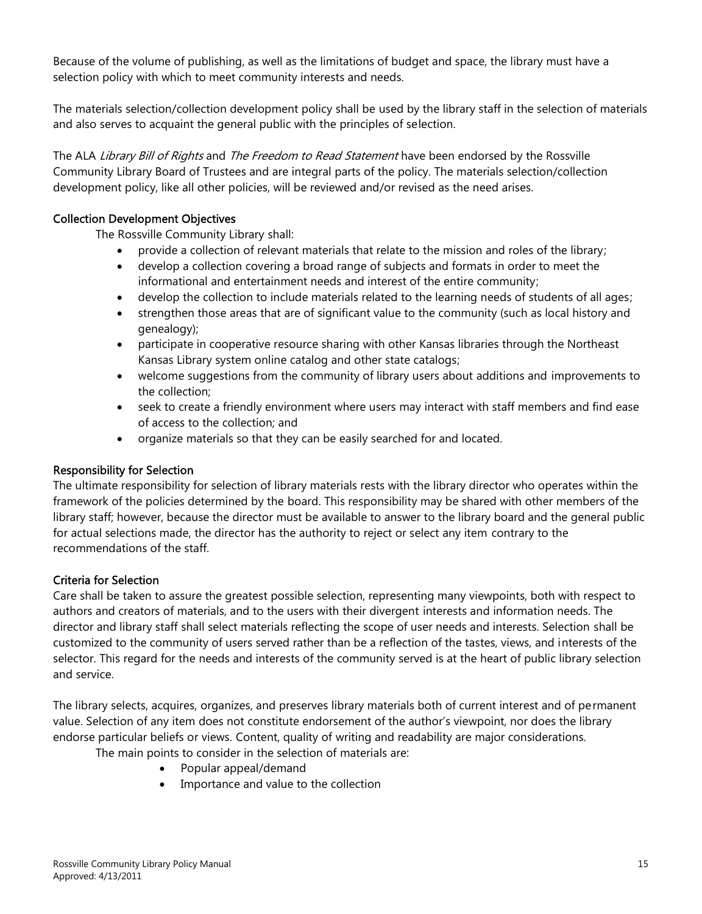Because of the volume of publishing, as well as the limitations of budget and space, the library must have a selection policy with which to meet community interests and needs.

The materials selection/collection development policy shall be used by the library staff in the selection of materials and also serves to acquaint the general public with the principles of selection.

The ALA *Library Bill of Rights* and *The Freedom to Read Statement* have been endorsed by the Rossville Community Library Board of Trustees and are integral parts of the policy. The materials selection/collection development policy, like all other policies, will be reviewed and/or revised as the need arises.

# **Collection Development Objectives**

The Rossville Community Library shall:

- provide a collection of relevant materials that relate to the mission and roles of the library;
- develop a collection covering a broad range of subjects and formats in order to meet the informational and entertainment needs and interest of the entire community;
- develop the collection to include materials related to the learning needs of students of all ages;
- strengthen those areas that are of significant value to the community (such as local history and genealogy);
- participate in cooperative resource sharing with other Kansas libraries through the Northeast Kansas Library system online catalog and other state catalogs;
- welcome suggestions from the community of library users about additions and improvements to the collection;
- seek to create a friendly environment where users may interact with staff members and find ease of access to the collection; and
- organize materials so that they can be easily searched for and located.

#### **Responsibility for Selection**

The ultimate responsibility for selection of library materials rests with the library director who operates within the framework of the policies determined by the board. This responsibility may be shared with other members of the library staff; however, because the director must be available to answer to the library board and the general public for actual selections made, the director has the authority to reject or select any item contrary to the recommendations of the staff.

#### **Criteria for Selection**

Care shall be taken to assure the greatest possible selection, representing many viewpoints, both with respect to authors and creators of materials, and to the users with their divergent interests and information needs. The director and library staff shall select materials reflecting the scope of user needs and interests. Selection shall be customized to the community of users served rather than be a reflection of the tastes, views, and interests of the selector. This regard for the needs and interests of the community served is at the heart of public library selection and service.

The library selects, acquires, organizes, and preserves library materials both of current interest and of permanent value. Selection of any item does not constitute endorsement of the author's viewpoint, nor does the library endorse particular beliefs or views. Content, quality of writing and readability are major considerations.

The main points to consider in the selection of materials are:

- Popular appeal/demand
- Importance and value to the collection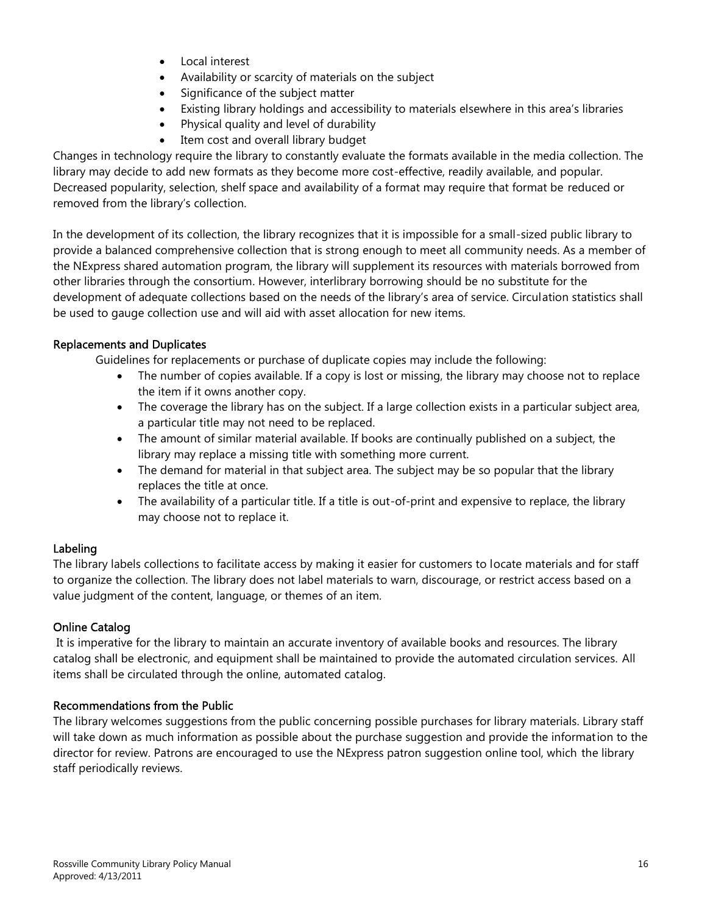- Local interest
- Availability or scarcity of materials on the subject
- Significance of the subject matter
- Existing library holdings and accessibility to materials elsewhere in this area's libraries
- Physical quality and level of durability
- Item cost and overall library budget

Changes in technology require the library to constantly evaluate the formats available in the media collection. The library may decide to add new formats as they become more cost-effective, readily available, and popular. Decreased popularity, selection, shelf space and availability of a format may require that format be reduced or removed from the library's collection.

In the development of its collection, the library recognizes that it is impossible for a small-sized public library to provide a balanced comprehensive collection that is strong enough to meet all community needs. As a member of the NExpress shared automation program, the library will supplement its resources with materials borrowed from other libraries through the consortium. However, interlibrary borrowing should be no substitute for the development of adequate collections based on the needs of the library's area of service. Circulation statistics shall be used to gauge collection use and will aid with asset allocation for new items.

# **Replacements and Duplicates**

Guidelines for replacements or purchase of duplicate copies may include the following:

- The number of copies available. If a copy is lost or missing, the library may choose not to replace the item if it owns another copy.
- The coverage the library has on the subject. If a large collection exists in a particular subject area, a particular title may not need to be replaced.
- The amount of similar material available. If books are continually published on a subject, the library may replace a missing title with something more current.
- The demand for material in that subject area. The subject may be so popular that the library replaces the title at once.
- The availability of a particular title. If a title is out-of-print and expensive to replace, the library may choose not to replace it.

# **Labeling**

The library labels collections to facilitate access by making it easier for customers to locate materials and for staff to organize the collection. The library does not label materials to warn, discourage, or restrict access based on a value judgment of the content, language, or themes of an item.

# **Online Catalog**

It is imperative for the library to maintain an accurate inventory of available books and resources. The library catalog shall be electronic, and equipment shall be maintained to provide the automated circulation services. All items shall be circulated through the online, automated catalog.

#### **Recommendations from the Public**

The library welcomes suggestions from the public concerning possible purchases for library materials. Library staff will take down as much information as possible about the purchase suggestion and provide the information to the director for review. Patrons are encouraged to use the NExpress patron suggestion online tool, which the library staff periodically reviews.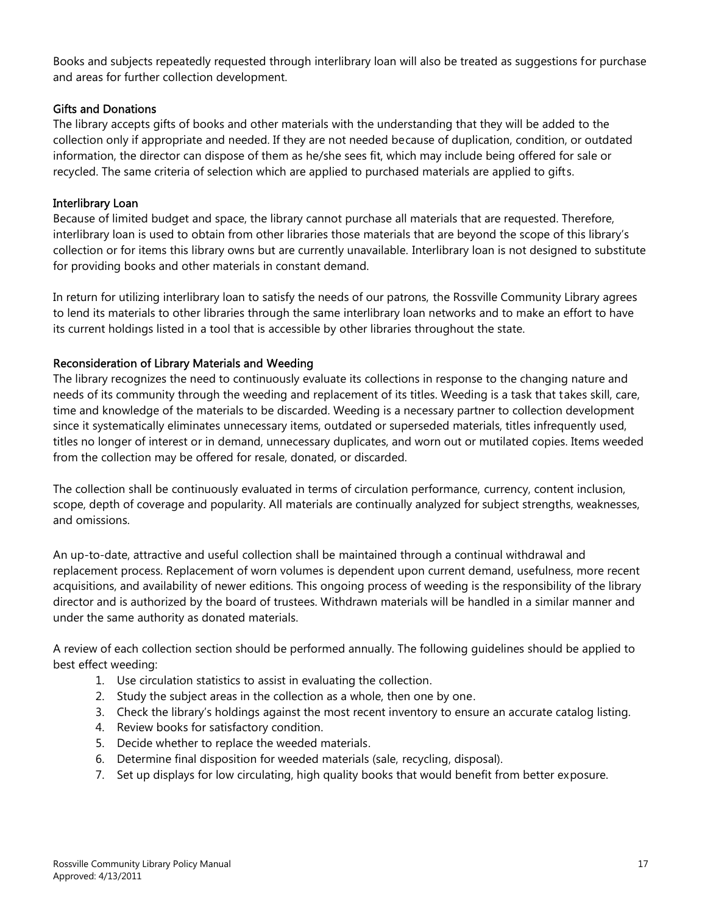Books and subjects repeatedly requested through interlibrary loan will also be treated as suggestions for purchase and areas for further collection development.

#### **Gifts and Donations**

The library accepts gifts of books and other materials with the understanding that they will be added to the collection only if appropriate and needed. If they are not needed because of duplication, condition, or outdated information, the director can dispose of them as he/she sees fit, which may include being offered for sale or recycled. The same criteria of selection which are applied to purchased materials are applied to gifts.

#### **Interlibrary Loan**

Because of limited budget and space, the library cannot purchase all materials that are requested. Therefore, interlibrary loan is used to obtain from other libraries those materials that are beyond the scope of this library's collection or for items this library owns but are currently unavailable. Interlibrary loan is not designed to substitute for providing books and other materials in constant demand.

In return for utilizing interlibrary loan to satisfy the needs of our patrons, the Rossville Community Library agrees to lend its materials to other libraries through the same interlibrary loan networks and to make an effort to have its current holdings listed in a tool that is accessible by other libraries throughout the state.

#### **Reconsideration of Library Materials and Weeding**

The library recognizes the need to continuously evaluate its collections in response to the changing nature and needs of its community through the weeding and replacement of its titles. Weeding is a task that takes skill, care, time and knowledge of the materials to be discarded. Weeding is a necessary partner to collection development since it systematically eliminates unnecessary items, outdated or superseded materials, titles infrequently used, titles no longer of interest or in demand, unnecessary duplicates, and worn out or mutilated copies. Items weeded from the collection may be offered for resale, donated, or discarded.

The collection shall be continuously evaluated in terms of circulation performance, currency, content inclusion, scope, depth of coverage and popularity. All materials are continually analyzed for subject strengths, weaknesses, and omissions.

An up-to-date, attractive and useful collection shall be maintained through a continual withdrawal and replacement process. Replacement of worn volumes is dependent upon current demand, usefulness, more recent acquisitions, and availability of newer editions. This ongoing process of weeding is the responsibility of the library director and is authorized by the board of trustees. Withdrawn materials will be handled in a similar manner and under the same authority as donated materials.

A review of each collection section should be performed annually. The following guidelines should be applied to best effect weeding:

- 1. Use circulation statistics to assist in evaluating the collection.
- 2. Study the subject areas in the collection as a whole, then one by one.
- 3. Check the library's holdings against the most recent inventory to ensure an accurate catalog listing.
- 4. Review books for satisfactory condition.
- 5. Decide whether to replace the weeded materials.
- 6. Determine final disposition for weeded materials (sale, recycling, disposal).
- 7. Set up displays for low circulating, high quality books that would benefit from better exposure.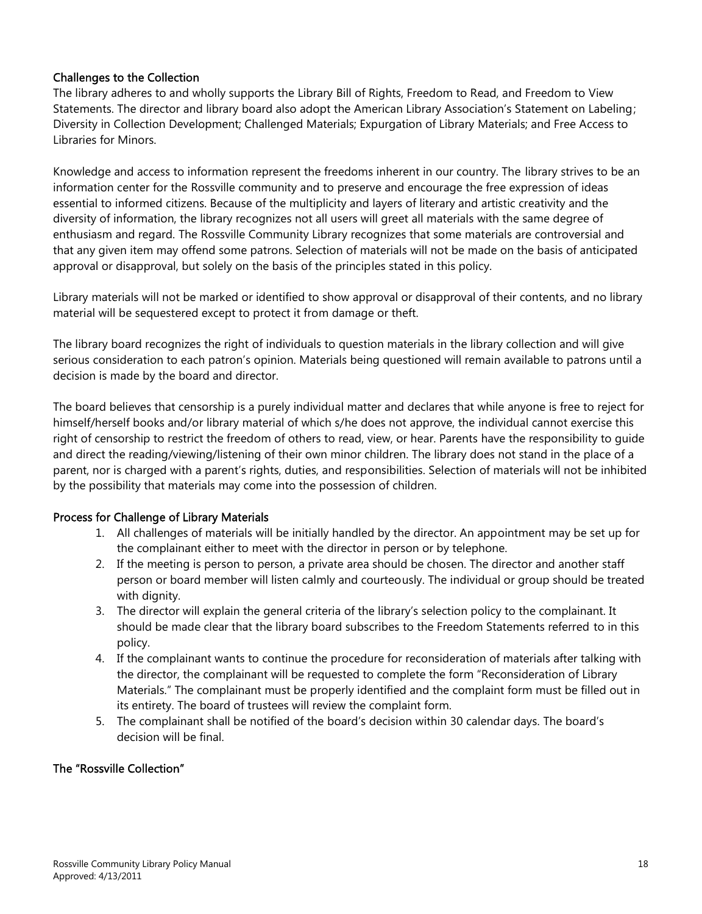#### **Challenges to the Collection**

The library adheres to and wholly supports the Library Bill of Rights, Freedom to Read, and Freedom to View Statements. The director and library board also adopt the American Library Association's Statement on Labeling; Diversity in Collection Development; Challenged Materials; Expurgation of Library Materials; and Free Access to Libraries for Minors.

Knowledge and access to information represent the freedoms inherent in our country. The library strives to be an information center for the Rossville community and to preserve and encourage the free expression of ideas essential to informed citizens. Because of the multiplicity and layers of literary and artistic creativity and the diversity of information, the library recognizes not all users will greet all materials with the same degree of enthusiasm and regard. The Rossville Community Library recognizes that some materials are controversial and that any given item may offend some patrons. Selection of materials will not be made on the basis of anticipated approval or disapproval, but solely on the basis of the principles stated in this policy.

Library materials will not be marked or identified to show approval or disapproval of their contents, and no library material will be sequestered except to protect it from damage or theft.

The library board recognizes the right of individuals to question materials in the library collection and will give serious consideration to each patron's opinion. Materials being questioned will remain available to patrons until a decision is made by the board and director.

The board believes that censorship is a purely individual matter and declares that while anyone is free to reject for himself/herself books and/or library material of which s/he does not approve, the individual cannot exercise this right of censorship to restrict the freedom of others to read, view, or hear. Parents have the responsibility to guide and direct the reading/viewing/listening of their own minor children. The library does not stand in the place of a parent, nor is charged with a parent's rights, duties, and responsibilities. Selection of materials will not be inhibited by the possibility that materials may come into the possession of children.

#### **Process for Challenge of Library Materials**

- 1. All challenges of materials will be initially handled by the director. An appointment may be set up for the complainant either to meet with the director in person or by telephone.
- 2. If the meeting is person to person, a private area should be chosen. The director and another staff person or board member will listen calmly and courteously. The individual or group should be treated with dignity.
- 3. The director will explain the general criteria of the library's selection policy to the complainant. It should be made clear that the library board subscribes to the Freedom Statements referred to in this policy.
- 4. If the complainant wants to continue the procedure for reconsideration of materials after talking with the director, the complainant will be requested to complete the form "Reconsideration of Library Materials." The complainant must be properly identified and the complaint form must be filled out in its entirety. The board of trustees will review the complaint form.
- 5. The complainant shall be notified of the board's decision within 30 calendar days. The board's decision will be final.

#### **The "Rossville Collection"**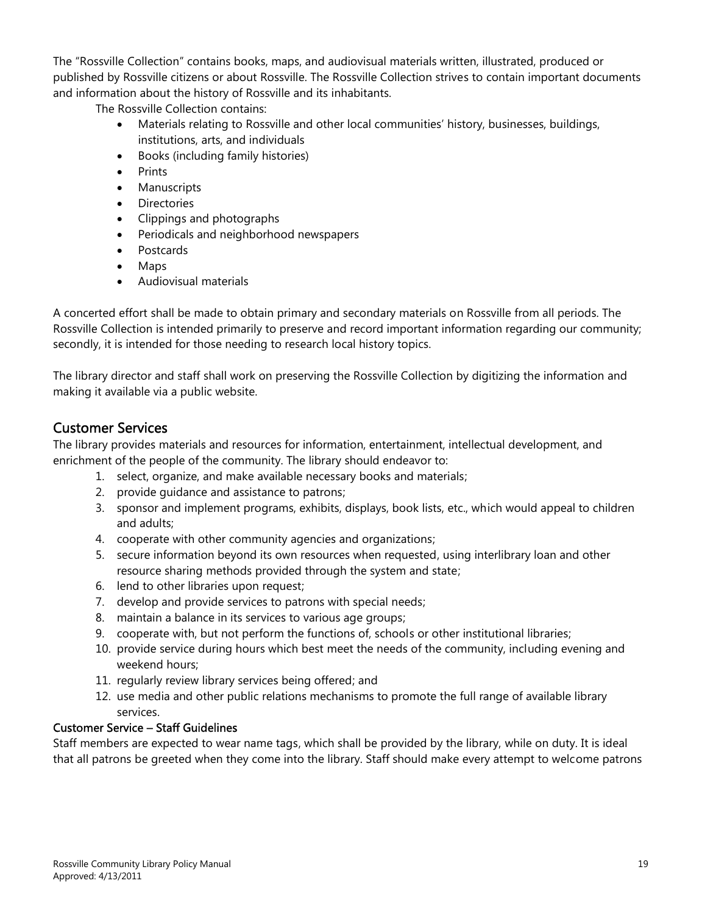The "Rossville Collection" contains books, maps, and audiovisual materials written, illustrated, produced or published by Rossville citizens or about Rossville. The Rossville Collection strives to contain important documents and information about the history of Rossville and its inhabitants.

The Rossville Collection contains:

- Materials relating to Rossville and other local communities' history, businesses, buildings, institutions, arts, and individuals
- Books (including family histories)
- Prints
- Manuscripts
- **Directories**
- Clippings and photographs
- Periodicals and neighborhood newspapers
- Postcards
- Maps
- Audiovisual materials

A concerted effort shall be made to obtain primary and secondary materials on Rossville from all periods. The Rossville Collection is intended primarily to preserve and record important information regarding our community; secondly, it is intended for those needing to research local history topics.

The library director and staff shall work on preserving the Rossville Collection by digitizing the information and making it available via a public website.

# **Customer Services**

The library provides materials and resources for information, entertainment, intellectual development, and enrichment of the people of the community. The library should endeavor to:

- 1. select, organize, and make available necessary books and materials;
- 2. provide guidance and assistance to patrons;
- 3. sponsor and implement programs, exhibits, displays, book lists, etc., which would appeal to children and adults;
- 4. cooperate with other community agencies and organizations;
- 5. secure information beyond its own resources when requested, using interlibrary loan and other resource sharing methods provided through the system and state;
- 6. lend to other libraries upon request;
- 7. develop and provide services to patrons with special needs;
- 8. maintain a balance in its services to various age groups;
- 9. cooperate with, but not perform the functions of, schools or other institutional libraries;
- 10. provide service during hours which best meet the needs of the community, including evening and weekend hours;
- 11. regularly review library services being offered; and
- 12. use media and other public relations mechanisms to promote the full range of available library services.

# **Customer Service – Staff Guidelines**

Staff members are expected to wear name tags, which shall be provided by the library, while on duty. It is ideal that all patrons be greeted when they come into the library. Staff should make every attempt to welcome patrons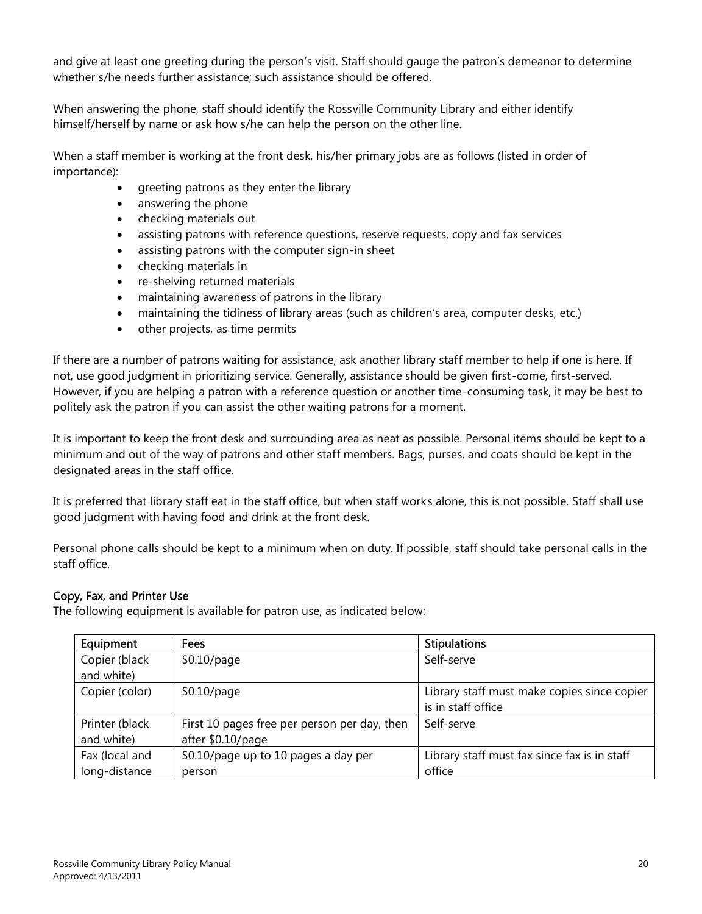and give at least one greeting during the person's visit. Staff should gauge the patron's demeanor to determine whether s/he needs further assistance; such assistance should be offered.

When answering the phone, staff should identify the Rossville Community Library and either identify himself/herself by name or ask how s/he can help the person on the other line.

When a staff member is working at the front desk, his/her primary jobs are as follows (listed in order of importance):

- greeting patrons as they enter the library
- answering the phone
- checking materials out
- assisting patrons with reference questions, reserve requests, copy and fax services
- assisting patrons with the computer sign-in sheet
- checking materials in
- re-shelving returned materials
- maintaining awareness of patrons in the library
- maintaining the tidiness of library areas (such as children's area, computer desks, etc.)
- other projects, as time permits

If there are a number of patrons waiting for assistance, ask another library staff member to help if one is here. If not, use good judgment in prioritizing service. Generally, assistance should be given first-come, first-served. However, if you are helping a patron with a reference question or another time-consuming task, it may be best to politely ask the patron if you can assist the other waiting patrons for a moment.

It is important to keep the front desk and surrounding area as neat as possible. Personal items should be kept to a minimum and out of the way of patrons and other staff members. Bags, purses, and coats should be kept in the designated areas in the staff office.

It is preferred that library staff eat in the staff office, but when staff works alone, this is not possible. Staff shall use good judgment with having food and drink at the front desk.

Personal phone calls should be kept to a minimum when on duty. If possible, staff should take personal calls in the staff office.

# **Copy, Fax, and Printer Use**

The following equipment is available for patron use, as indicated below:

| Equipment      | Fees                                         | <b>Stipulations</b>                          |
|----------------|----------------------------------------------|----------------------------------------------|
| Copier (black  | $$0.10$ /page                                | Self-serve                                   |
| and white)     |                                              |                                              |
| Copier (color) | $$0.10$ /page                                | Library staff must make copies since copier  |
|                |                                              | is in staff office                           |
| Printer (black | First 10 pages free per person per day, then | Self-serve                                   |
| and white)     | after \$0.10/page                            |                                              |
| Fax (local and | \$0.10/page up to 10 pages a day per         | Library staff must fax since fax is in staff |
| long-distance  | person                                       | office                                       |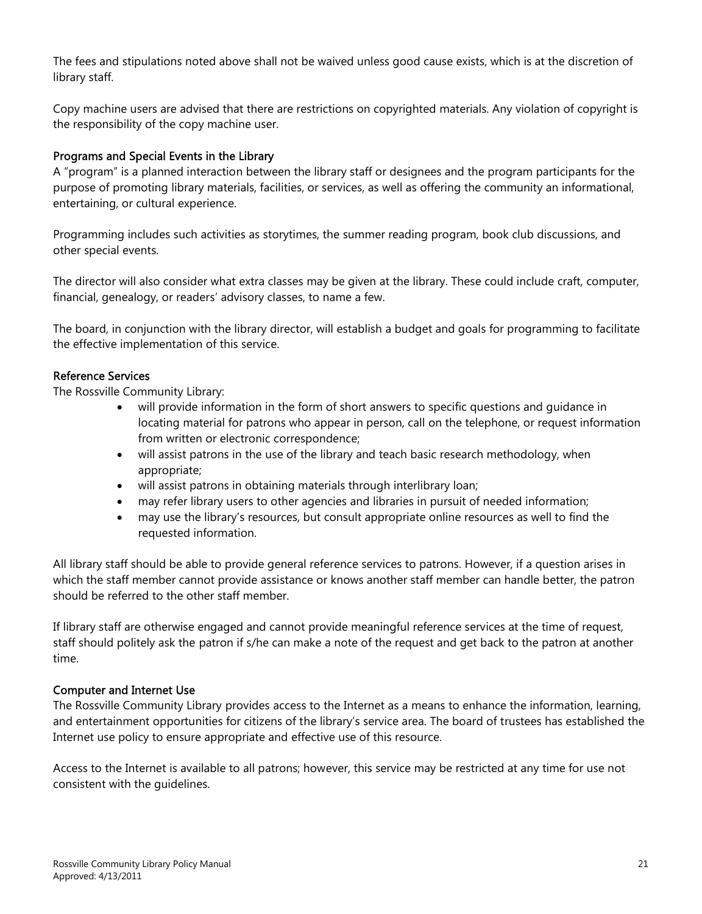The fees and stipulations noted above shall not be waived unless good cause exists, which is at the discretion of library staff.

Copy machine users are advised that there are restrictions on copyrighted materials. Any violation of copyright is the responsibility of the copy machine user.

#### **Programs and Special Events in the Library**

A "program" is a planned interaction between the library staff or designees and the program participants for the purpose of promoting library materials, facilities, or services, as well as offering the community an informational, entertaining, or cultural experience.

Programming includes such activities as storytimes, the summer reading program, book club discussions, and other special events.

The director will also consider what extra classes may be given at the library. These could include craft, computer, financial, genealogy, or readers' advisory classes, to name a few.

The board, in conjunction with the library director, will establish a budget and goals for programming to facilitate the effective implementation of this service.

#### **Reference Services**

The Rossville Community Library:

- will provide information in the form of short answers to specific questions and guidance in locating material for patrons who appear in person, call on the telephone, or request information from written or electronic correspondence;
- will assist patrons in the use of the library and teach basic research methodology, when appropriate;
- will assist patrons in obtaining materials through interlibrary loan;
- may refer library users to other agencies and libraries in pursuit of needed information;
- may use the library's resources, but consult appropriate online resources as well to find the requested information.

All library staff should be able to provide general reference services to patrons. However, if a question arises in which the staff member cannot provide assistance or knows another staff member can handle better, the patron should be referred to the other staff member.

If library staff are otherwise engaged and cannot provide meaningful reference services at the time of request, staff should politely ask the patron if s/he can make a note of the request and get back to the patron at another time.

#### **Computer and Internet Use**

The Rossville Community Library provides access to the Internet as a means to enhance the information, learning, and entertainment opportunities for citizens of the library's service area. The board of trustees has established the Internet use policy to ensure appropriate and effective use of this resource.

Access to the Internet is available to all patrons; however, this service may be restricted at any time for use not consistent with the guidelines.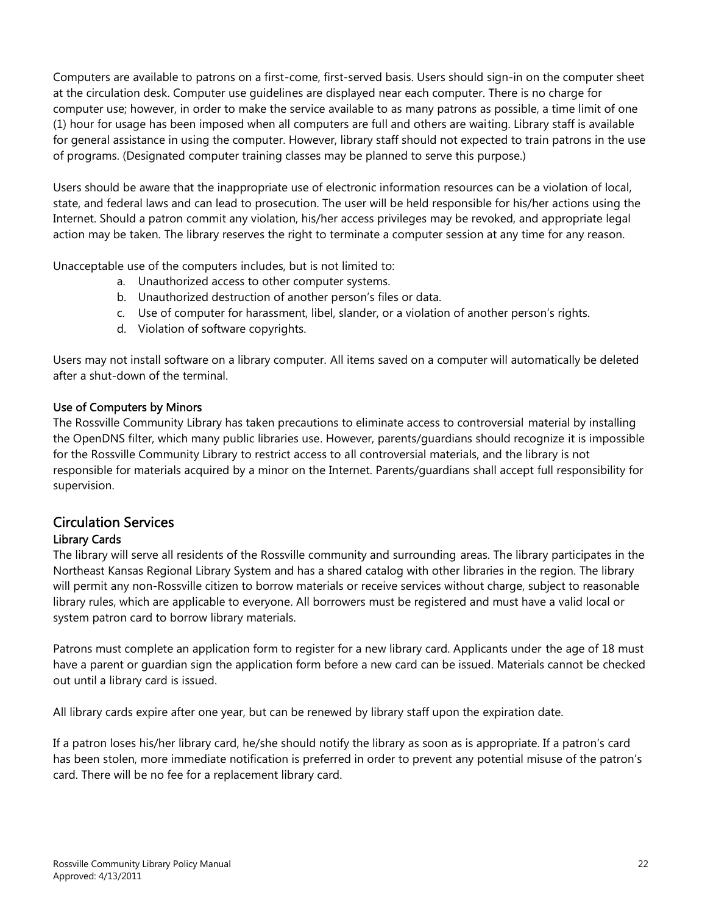Computers are available to patrons on a first-come, first-served basis. Users should sign-in on the computer sheet at the circulation desk. Computer use guidelines are displayed near each computer. There is no charge for computer use; however, in order to make the service available to as many patrons as possible, a time limit of one (1) hour for usage has been imposed when all computers are full and others are waiting. Library staff is available for general assistance in using the computer. However, library staff should not expected to train patrons in the use of programs. (Designated computer training classes may be planned to serve this purpose.)

Users should be aware that the inappropriate use of electronic information resources can be a violation of local, state, and federal laws and can lead to prosecution. The user will be held responsible for his/her actions using the Internet. Should a patron commit any violation, his/her access privileges may be revoked, and appropriate legal action may be taken. The library reserves the right to terminate a computer session at any time for any reason.

Unacceptable use of the computers includes, but is not limited to:

- a. Unauthorized access to other computer systems.
- b. Unauthorized destruction of another person's files or data.
- c. Use of computer for harassment, libel, slander, or a violation of another person's rights.
- d. Violation of software copyrights.

Users may not install software on a library computer. All items saved on a computer will automatically be deleted after a shut-down of the terminal.

#### **Use of Computers by Minors**

The Rossville Community Library has taken precautions to eliminate access to controversial material by installing the OpenDNS filter, which many public libraries use. However, parents/guardians should recognize it is impossible for the Rossville Community Library to restrict access to all controversial materials, and the library is not responsible for materials acquired by a minor on the Internet. Parents/guardians shall accept full responsibility for supervision.

# **Circulation Services**

#### **Library Cards**

The library will serve all residents of the Rossville community and surrounding areas. The library participates in the Northeast Kansas Regional Library System and has a shared catalog with other libraries in the region. The library will permit any non-Rossville citizen to borrow materials or receive services without charge, subject to reasonable library rules, which are applicable to everyone. All borrowers must be registered and must have a valid local or system patron card to borrow library materials.

Patrons must complete an application form to register for a new library card. Applicants under the age of 18 must have a parent or guardian sign the application form before a new card can be issued. Materials cannot be checked out until a library card is issued.

All library cards expire after one year, but can be renewed by library staff upon the expiration date.

If a patron loses his/her library card, he/she should notify the library as soon as is appropriate. If a patron's card has been stolen, more immediate notification is preferred in order to prevent any potential misuse of the patron's card. There will be no fee for a replacement library card.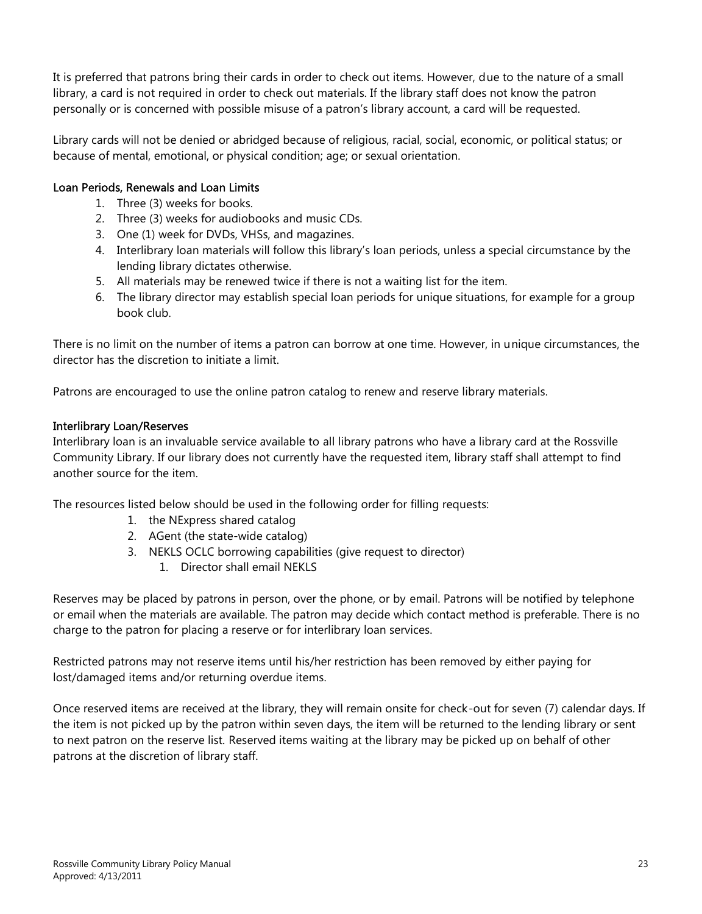It is preferred that patrons bring their cards in order to check out items. However, due to the nature of a small library, a card is not required in order to check out materials. If the library staff does not know the patron personally or is concerned with possible misuse of a patron's library account, a card will be requested.

Library cards will not be denied or abridged because of religious, racial, social, economic, or political status; or because of mental, emotional, or physical condition; age; or sexual orientation.

# **Loan Periods, Renewals and Loan Limits**

- 1. Three (3) weeks for books.
- 2. Three (3) weeks for audiobooks and music CDs.
- 3. One (1) week for DVDs, VHSs, and magazines.
- 4. Interlibrary loan materials will follow this library's loan periods, unless a special circumstance by the lending library dictates otherwise.
- 5. All materials may be renewed twice if there is not a waiting list for the item.
- 6. The library director may establish special loan periods for unique situations, for example for a group book club.

There is no limit on the number of items a patron can borrow at one time. However, in unique circumstances, the director has the discretion to initiate a limit.

Patrons are encouraged to use the online patron catalog to renew and reserve library materials.

#### **Interlibrary Loan/Reserves**

Interlibrary loan is an invaluable service available to all library patrons who have a library card at the Rossville Community Library. If our library does not currently have the requested item, library staff shall attempt to find another source for the item.

The resources listed below should be used in the following order for filling requests:

- 1. the NExpress shared catalog
- 2. AGent (the state-wide catalog)
- 3. NEKLS OCLC borrowing capabilities (give request to director)
	- 1. Director shall email NEKLS

Reserves may be placed by patrons in person, over the phone, or by email. Patrons will be notified by telephone or email when the materials are available. The patron may decide which contact method is preferable. There is no charge to the patron for placing a reserve or for interlibrary loan services.

Restricted patrons may not reserve items until his/her restriction has been removed by either paying for lost/damaged items and/or returning overdue items.

Once reserved items are received at the library, they will remain onsite for check-out for seven (7) calendar days. If the item is not picked up by the patron within seven days, the item will be returned to the lending library or sent to next patron on the reserve list. Reserved items waiting at the library may be picked up on behalf of other patrons at the discretion of library staff.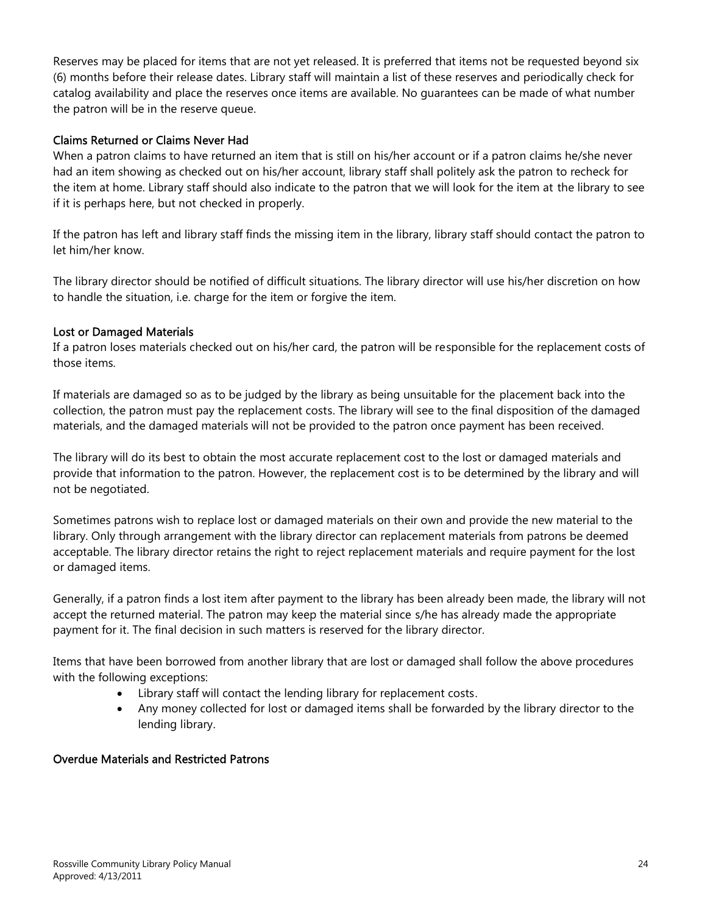Reserves may be placed for items that are not yet released. It is preferred that items not be requested beyond six (6) months before their release dates. Library staff will maintain a list of these reserves and periodically check for catalog availability and place the reserves once items are available. No guarantees can be made of what number the patron will be in the reserve queue.

### **Claims Returned or Claims Never Had**

When a patron claims to have returned an item that is still on his/her account or if a patron claims he/she never had an item showing as checked out on his/her account, library staff shall politely ask the patron to recheck for the item at home. Library staff should also indicate to the patron that we will look for the item at the library to see if it is perhaps here, but not checked in properly.

If the patron has left and library staff finds the missing item in the library, library staff should contact the patron to let him/her know.

The library director should be notified of difficult situations. The library director will use his/her discretion on how to handle the situation, i.e. charge for the item or forgive the item.

# **Lost or Damaged Materials**

If a patron loses materials checked out on his/her card, the patron will be responsible for the replacement costs of those items.

If materials are damaged so as to be judged by the library as being unsuitable for the placement back into the collection, the patron must pay the replacement costs. The library will see to the final disposition of the damaged materials, and the damaged materials will not be provided to the patron once payment has been received.

The library will do its best to obtain the most accurate replacement cost to the lost or damaged materials and provide that information to the patron. However, the replacement cost is to be determined by the library and will not be negotiated.

Sometimes patrons wish to replace lost or damaged materials on their own and provide the new material to the library. Only through arrangement with the library director can replacement materials from patrons be deemed acceptable. The library director retains the right to reject replacement materials and require payment for the lost or damaged items.

Generally, if a patron finds a lost item after payment to the library has been already been made, the library will not accept the returned material. The patron may keep the material since s/he has already made the appropriate payment for it. The final decision in such matters is reserved for the library director.

Items that have been borrowed from another library that are lost or damaged shall follow the above procedures with the following exceptions:

- Library staff will contact the lending library for replacement costs.
- Any money collected for lost or damaged items shall be forwarded by the library director to the lending library.

#### **Overdue Materials and Restricted Patrons**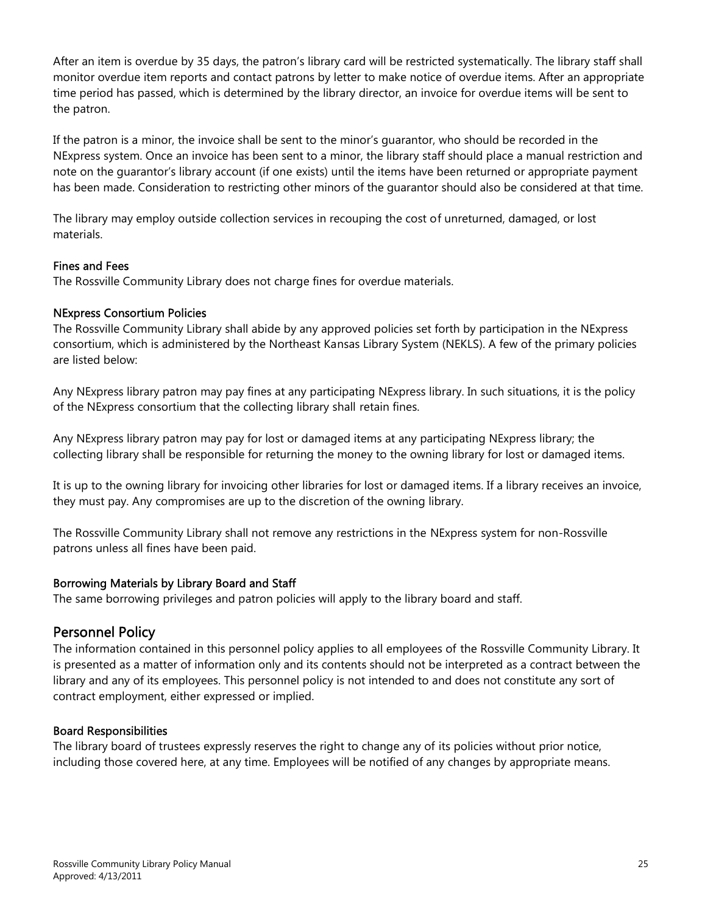After an item is overdue by 35 days, the patron's library card will be restricted systematically. The library staff shall monitor overdue item reports and contact patrons by letter to make notice of overdue items. After an appropriate time period has passed, which is determined by the library director, an invoice for overdue items will be sent to the patron.

If the patron is a minor, the invoice shall be sent to the minor's guarantor, who should be recorded in the NExpress system. Once an invoice has been sent to a minor, the library staff should place a manual restriction and note on the guarantor's library account (if one exists) until the items have been returned or appropriate payment has been made. Consideration to restricting other minors of the guarantor should also be considered at that time.

The library may employ outside collection services in recouping the cost of unreturned, damaged, or lost materials.

#### **Fines and Fees**

The Rossville Community Library does not charge fines for overdue materials.

#### **NExpress Consortium Policies**

The Rossville Community Library shall abide by any approved policies set forth by participation in the NExpress consortium, which is administered by the Northeast Kansas Library System (NEKLS). A few of the primary policies are listed below:

Any NExpress library patron may pay fines at any participating NExpress library. In such situations, it is the policy of the NExpress consortium that the collecting library shall retain fines.

Any NExpress library patron may pay for lost or damaged items at any participating NExpress library; the collecting library shall be responsible for returning the money to the owning library for lost or damaged items.

It is up to the owning library for invoicing other libraries for lost or damaged items. If a library receives an invoice, they must pay. Any compromises are up to the discretion of the owning library.

The Rossville Community Library shall not remove any restrictions in the NExpress system for non-Rossville patrons unless all fines have been paid.

#### **Borrowing Materials by Library Board and Staff**

The same borrowing privileges and patron policies will apply to the library board and staff.

# **Personnel Policy**

The information contained in this personnel policy applies to all employees of the Rossville Community Library. It is presented as a matter of information only and its contents should not be interpreted as a contract between the library and any of its employees. This personnel policy is not intended to and does not constitute any sort of contract employment, either expressed or implied.

#### **Board Responsibilities**

The library board of trustees expressly reserves the right to change any of its policies without prior notice, including those covered here, at any time. Employees will be notified of any changes by appropriate means.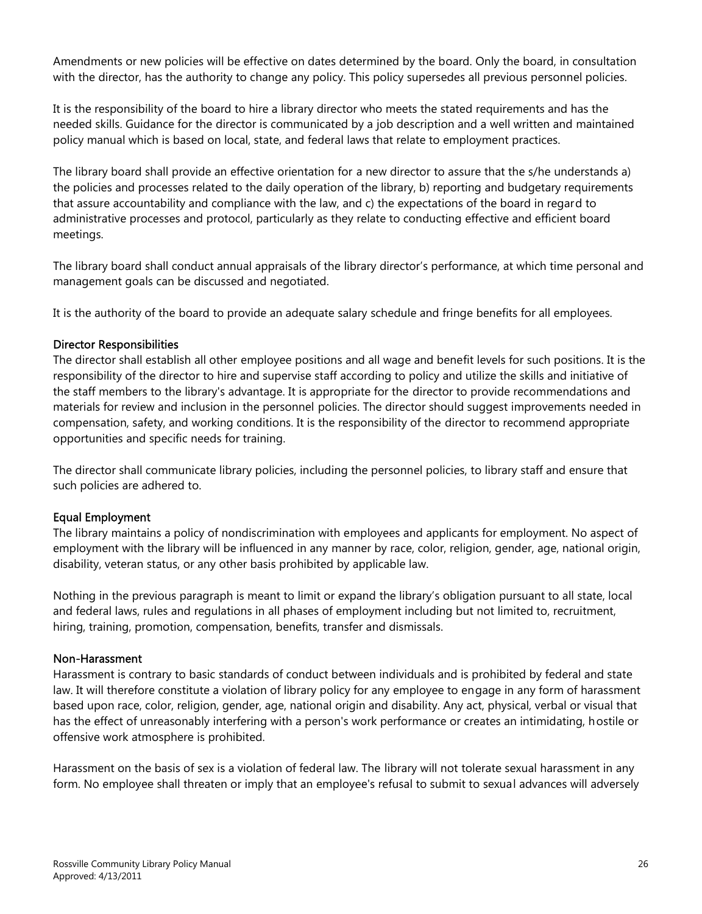Amendments or new policies will be effective on dates determined by the board. Only the board, in consultation with the director, has the authority to change any policy. This policy supersedes all previous personnel policies.

It is the responsibility of the board to hire a library director who meets the stated requirements and has the needed skills. Guidance for the director is communicated by a job description and a well written and maintained policy manual which is based on local, state, and federal laws that relate to employment practices.

The library board shall provide an effective orientation for a new director to assure that the s/he understands a) the policies and processes related to the daily operation of the library, b) reporting and budgetary requirements that assure accountability and compliance with the law, and c) the expectations of the board in regard to administrative processes and protocol, particularly as they relate to conducting effective and efficient board meetings.

The library board shall conduct annual appraisals of the library director's performance, at which time personal and management goals can be discussed and negotiated.

It is the authority of the board to provide an adequate salary schedule and fringe benefits for all employees.

#### **Director Responsibilities**

The director shall establish all other employee positions and all wage and benefit levels for such positions. It is the responsibility of the director to hire and supervise staff according to policy and utilize the skills and initiative of the staff members to the library's advantage. It is appropriate for the director to provide recommendations and materials for review and inclusion in the personnel policies. The director should suggest improvements needed in compensation, safety, and working conditions. It is the responsibility of the director to recommend appropriate opportunities and specific needs for training.

The director shall communicate library policies, including the personnel policies, to library staff and ensure that such policies are adhered to.

# **Equal Employment**

The library maintains a policy of nondiscrimination with employees and applicants for employment. No aspect of employment with the library will be influenced in any manner by race, color, religion, gender, age, national origin, disability, veteran status, or any other basis prohibited by applicable law.

Nothing in the previous paragraph is meant to limit or expand the library's obligation pursuant to all state, local and federal laws, rules and regulations in all phases of employment including but not limited to, recruitment, hiring, training, promotion, compensation, benefits, transfer and dismissals.

#### **Non-Harassment**

Harassment is contrary to basic standards of conduct between individuals and is prohibited by federal and state law. It will therefore constitute a violation of library policy for any employee to engage in any form of harassment based upon race, color, religion, gender, age, national origin and disability. Any act, physical, verbal or visual that has the effect of unreasonably interfering with a person's work performance or creates an intimidating, hostile or offensive work atmosphere is prohibited.

Harassment on the basis of sex is a violation of federal law. The library will not tolerate sexual harassment in any form. No employee shall threaten or imply that an employee's refusal to submit to sexual advances will adversely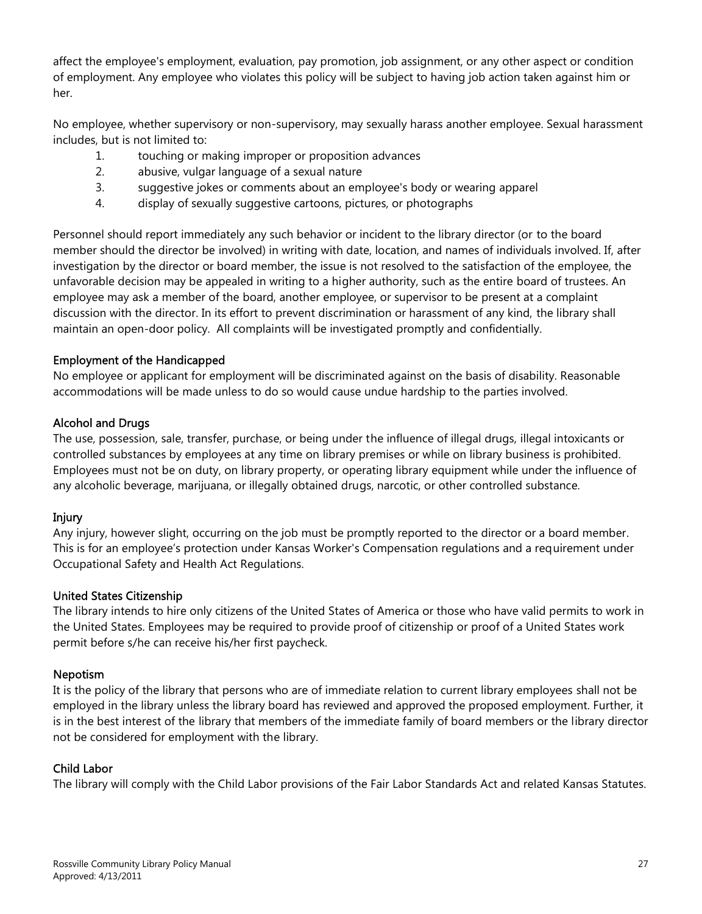affect the employee's employment, evaluation, pay promotion, job assignment, or any other aspect or condition of employment. Any employee who violates this policy will be subject to having job action taken against him or her.

No employee, whether supervisory or non-supervisory, may sexually harass another employee. Sexual harassment includes, but is not limited to:

- 1. touching or making improper or proposition advances
- 2. abusive, vulgar language of a sexual nature
- 3. suggestive jokes or comments about an employee's body or wearing apparel
- 4. display of sexually suggestive cartoons, pictures, or photographs

Personnel should report immediately any such behavior or incident to the library director (or to the board member should the director be involved) in writing with date, location, and names of individuals involved. If, after investigation by the director or board member, the issue is not resolved to the satisfaction of the employee, the unfavorable decision may be appealed in writing to a higher authority, such as the entire board of trustees. An employee may ask a member of the board, another employee, or supervisor to be present at a complaint discussion with the director. In its effort to prevent discrimination or harassment of any kind, the library shall maintain an open-door policy. All complaints will be investigated promptly and confidentially.

#### **Employment of the Handicapped**

No employee or applicant for employment will be discriminated against on the basis of disability. Reasonable accommodations will be made unless to do so would cause undue hardship to the parties involved.

#### **Alcohol and Drugs**

The use, possession, sale, transfer, purchase, or being under the influence of illegal drugs, illegal intoxicants or controlled substances by employees at any time on library premises or while on library business is prohibited. Employees must not be on duty, on library property, or operating library equipment while under the influence of any alcoholic beverage, marijuana, or illegally obtained drugs, narcotic, or other controlled substance.

#### **Injury**

Any injury, however slight, occurring on the job must be promptly reported to the director or a board member. This is for an employee's protection under Kansas Worker's Compensation regulations and a requirement under Occupational Safety and Health Act Regulations.

#### **United States Citizenship**

The library intends to hire only citizens of the United States of America or those who have valid permits to work in the United States. Employees may be required to provide proof of citizenship or proof of a United States work permit before s/he can receive his/her first paycheck.

#### **Nepotism**

It is the policy of the library that persons who are of immediate relation to current library employees shall not be employed in the library unless the library board has reviewed and approved the proposed employment. Further, it is in the best interest of the library that members of the immediate family of board members or the library director not be considered for employment with the library.

#### **Child Labor**

The library will comply with the Child Labor provisions of the Fair Labor Standards Act and related Kansas Statutes.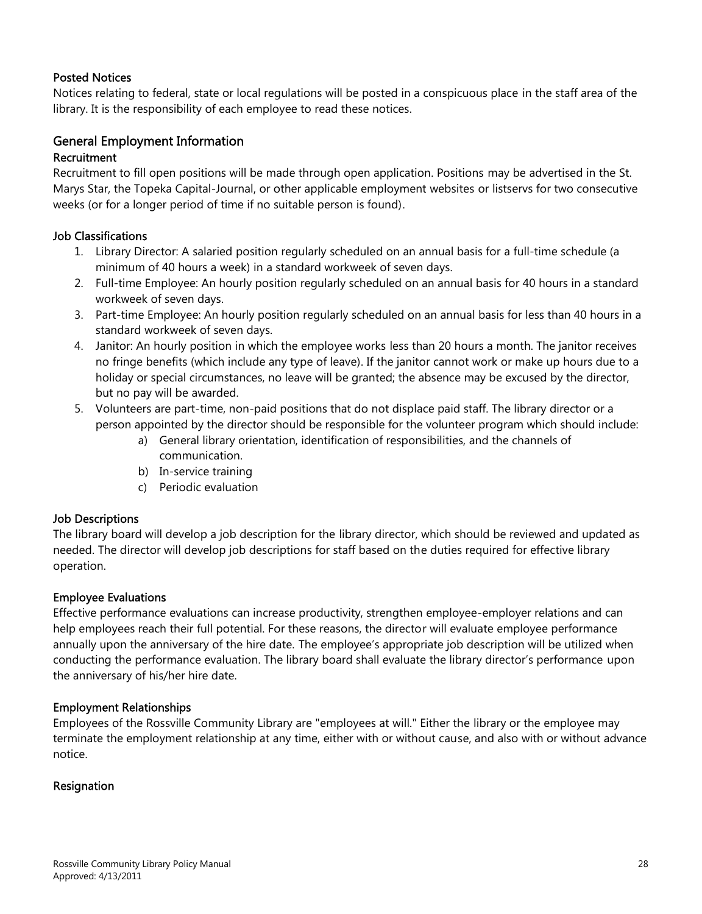#### **Posted Notices**

Notices relating to federal, state or local regulations will be posted in a conspicuous place in the staff area of the library. It is the responsibility of each employee to read these notices.

#### **General Employment Information Recruitment**

Recruitment to fill open positions will be made through open application. Positions may be advertised in the St. Marys Star, the Topeka Capital-Journal, or other applicable employment websites or listservs for two consecutive weeks (or for a longer period of time if no suitable person is found).

# **Job Classifications**

- 1. Library Director: A salaried position regularly scheduled on an annual basis for a full-time schedule (a minimum of 40 hours a week) in a standard workweek of seven days.
- 2. Full-time Employee: An hourly position regularly scheduled on an annual basis for 40 hours in a standard workweek of seven days.
- 3. Part-time Employee: An hourly position regularly scheduled on an annual basis for less than 40 hours in a standard workweek of seven days.
- 4. Janitor: An hourly position in which the employee works less than 20 hours a month. The janitor receives no fringe benefits (which include any type of leave). If the janitor cannot work or make up hours due to a holiday or special circumstances, no leave will be granted; the absence may be excused by the director, but no pay will be awarded.
- 5. Volunteers are part-time, non-paid positions that do not displace paid staff. The library director or a person appointed by the director should be responsible for the volunteer program which should include:
	- a) General library orientation, identification of responsibilities, and the channels of communication.
	- b) In-service training
	- c) Periodic evaluation

#### **Job Descriptions**

The library board will develop a job description for the library director, which should be reviewed and updated as needed. The director will develop job descriptions for staff based on the duties required for effective library operation.

#### **Employee Evaluations**

Effective performance evaluations can increase productivity, strengthen employee-employer relations and can help employees reach their full potential. For these reasons, the director will evaluate employee performance annually upon the anniversary of the hire date. The employee's appropriate job description will be utilized when conducting the performance evaluation. The library board shall evaluate the library director's performance upon the anniversary of his/her hire date.

#### **Employment Relationships**

Employees of the Rossville Community Library are "employees at will." Either the library or the employee may terminate the employment relationship at any time, either with or without cause, and also with or without advance notice.

#### **Resignation**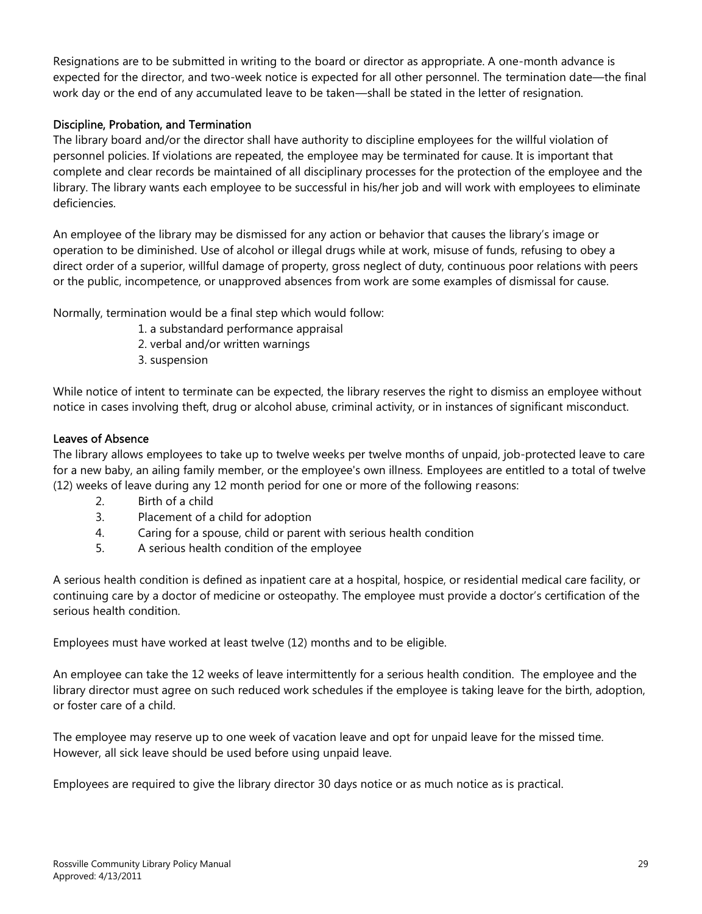Resignations are to be submitted in writing to the board or director as appropriate. A one-month advance is expected for the director, and two-week notice is expected for all other personnel. The termination date—the final work day or the end of any accumulated leave to be taken—shall be stated in the letter of resignation.

# **Discipline, Probation, and Termination**

The library board and/or the director shall have authority to discipline employees for the willful violation of personnel policies. If violations are repeated, the employee may be terminated for cause. It is important that complete and clear records be maintained of all disciplinary processes for the protection of the employee and the library. The library wants each employee to be successful in his/her job and will work with employees to eliminate deficiencies.

An employee of the library may be dismissed for any action or behavior that causes the library's image or operation to be diminished. Use of alcohol or illegal drugs while at work, misuse of funds, refusing to obey a direct order of a superior, willful damage of property, gross neglect of duty, continuous poor relations with peers or the public, incompetence, or unapproved absences from work are some examples of dismissal for cause.

Normally, termination would be a final step which would follow:

- 1. a substandard performance appraisal
- 2. verbal and/or written warnings
- 3. suspension

While notice of intent to terminate can be expected, the library reserves the right to dismiss an employee without notice in cases involving theft, drug or alcohol abuse, criminal activity, or in instances of significant misconduct.

#### **Leaves of Absence**

The library allows employees to take up to twelve weeks per twelve months of unpaid, job-protected leave to care for a new baby, an ailing family member, or the employee's own illness. Employees are entitled to a total of twelve (12) weeks of leave during any 12 month period for one or more of the following reasons:

- 2. Birth of a child
- 3. Placement of a child for adoption
- 4. Caring for a spouse, child or parent with serious health condition
- 5. A serious health condition of the employee

A serious health condition is defined as inpatient care at a hospital, hospice, or residential medical care facility, or continuing care by a doctor of medicine or osteopathy. The employee must provide a doctor's certification of the serious health condition.

Employees must have worked at least twelve (12) months and to be eligible.

An employee can take the 12 weeks of leave intermittently for a serious health condition. The employee and the library director must agree on such reduced work schedules if the employee is taking leave for the birth, adoption, or foster care of a child.

The employee may reserve up to one week of vacation leave and opt for unpaid leave for the missed time. However, all sick leave should be used before using unpaid leave.

Employees are required to give the library director 30 days notice or as much notice as is practical.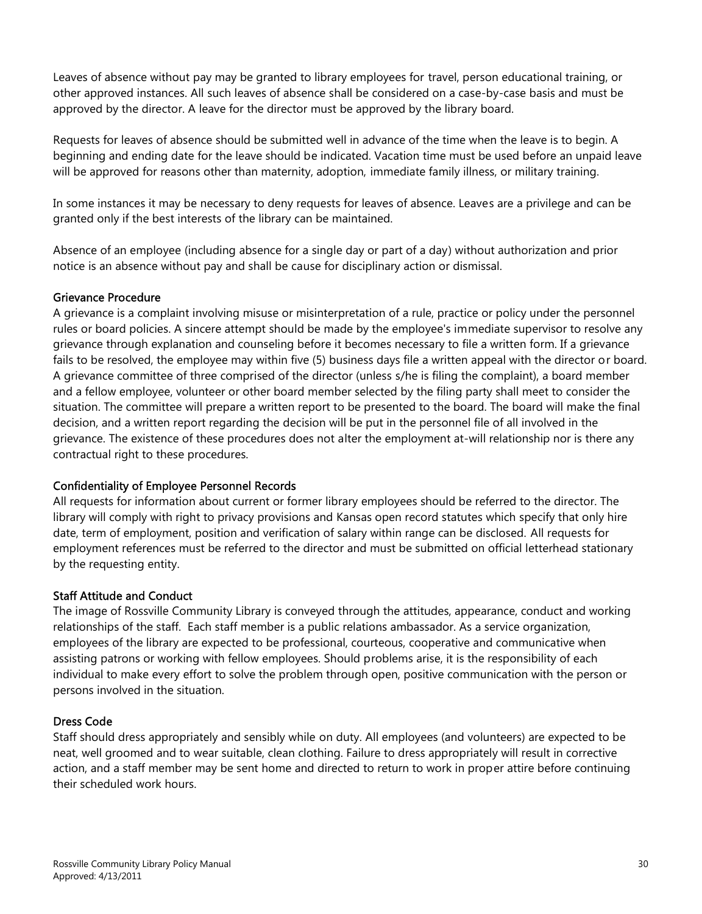Leaves of absence without pay may be granted to library employees for travel, person educational training, or other approved instances. All such leaves of absence shall be considered on a case-by-case basis and must be approved by the director. A leave for the director must be approved by the library board.

Requests for leaves of absence should be submitted well in advance of the time when the leave is to begin. A beginning and ending date for the leave should be indicated. Vacation time must be used before an unpaid leave will be approved for reasons other than maternity, adoption, immediate family illness, or military training.

In some instances it may be necessary to deny requests for leaves of absence. Leaves are a privilege and can be granted only if the best interests of the library can be maintained.

Absence of an employee (including absence for a single day or part of a day) without authorization and prior notice is an absence without pay and shall be cause for disciplinary action or dismissal.

#### **Grievance Procedure**

A grievance is a complaint involving misuse or misinterpretation of a rule, practice or policy under the personnel rules or board policies. A sincere attempt should be made by the employee's immediate supervisor to resolve any grievance through explanation and counseling before it becomes necessary to file a written form. If a grievance fails to be resolved, the employee may within five (5) business days file a written appeal with the director or board. A grievance committee of three comprised of the director (unless s/he is filing the complaint), a board member and a fellow employee, volunteer or other board member selected by the filing party shall meet to consider the situation. The committee will prepare a written report to be presented to the board. The board will make the final decision, and a written report regarding the decision will be put in the personnel file of all involved in the grievance. The existence of these procedures does not alter the employment at-will relationship nor is there any contractual right to these procedures.

#### **Confidentiality of Employee Personnel Records**

All requests for information about current or former library employees should be referred to the director. The library will comply with right to privacy provisions and Kansas open record statutes which specify that only hire date, term of employment, position and verification of salary within range can be disclosed. All requests for employment references must be referred to the director and must be submitted on official letterhead stationary by the requesting entity.

#### **Staff Attitude and Conduct**

The image of Rossville Community Library is conveyed through the attitudes, appearance, conduct and working relationships of the staff. Each staff member is a public relations ambassador. As a service organization, employees of the library are expected to be professional, courteous, cooperative and communicative when assisting patrons or working with fellow employees. Should problems arise, it is the responsibility of each individual to make every effort to solve the problem through open, positive communication with the person or persons involved in the situation.

#### **Dress Code**

Staff should dress appropriately and sensibly while on duty. All employees (and volunteers) are expected to be neat, well groomed and to wear suitable, clean clothing. Failure to dress appropriately will result in corrective action, and a staff member may be sent home and directed to return to work in proper attire before continuing their scheduled work hours.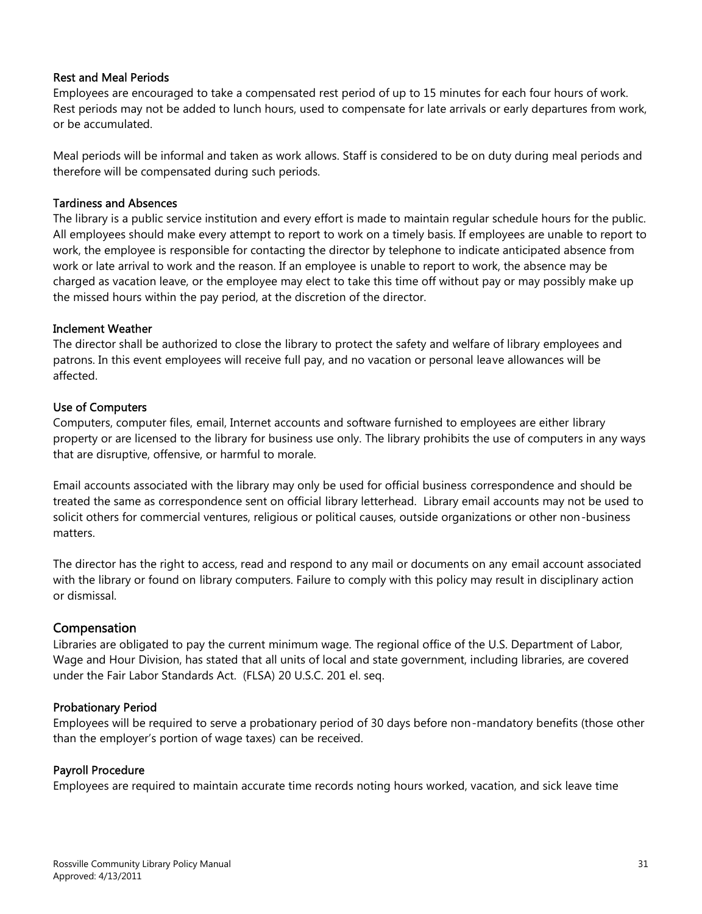#### **Rest and Meal Periods**

Employees are encouraged to take a compensated rest period of up to 15 minutes for each four hours of work. Rest periods may not be added to lunch hours, used to compensate for late arrivals or early departures from work, or be accumulated.

Meal periods will be informal and taken as work allows. Staff is considered to be on duty during meal periods and therefore will be compensated during such periods.

#### **Tardiness and Absences**

The library is a public service institution and every effort is made to maintain regular schedule hours for the public. All employees should make every attempt to report to work on a timely basis. If employees are unable to report to work, the employee is responsible for contacting the director by telephone to indicate anticipated absence from work or late arrival to work and the reason. If an employee is unable to report to work, the absence may be charged as vacation leave, or the employee may elect to take this time off without pay or may possibly make up the missed hours within the pay period, at the discretion of the director.

#### **Inclement Weather**

The director shall be authorized to close the library to protect the safety and welfare of library employees and patrons. In this event employees will receive full pay, and no vacation or personal leave allowances will be affected.

#### **Use of Computers**

Computers, computer files, email, Internet accounts and software furnished to employees are either library property or are licensed to the library for business use only. The library prohibits the use of computers in any ways that are disruptive, offensive, or harmful to morale.

Email accounts associated with the library may only be used for official business correspondence and should be treated the same as correspondence sent on official library letterhead. Library email accounts may not be used to solicit others for commercial ventures, religious or political causes, outside organizations or other non-business matters.

The director has the right to access, read and respond to any mail or documents on any email account associated with the library or found on library computers. Failure to comply with this policy may result in disciplinary action or dismissal.

#### **Compensation**

Libraries are obligated to pay the current minimum wage. The regional office of the U.S. Department of Labor, Wage and Hour Division, has stated that all units of local and state government, including libraries, are covered under the Fair Labor Standards Act. (FLSA) 20 U.S.C. 201 el. seq.

#### **Probationary Period**

Employees will be required to serve a probationary period of 30 days before non-mandatory benefits (those other than the employer's portion of wage taxes) can be received.

#### **Payroll Procedure**

Employees are required to maintain accurate time records noting hours worked, vacation, and sick leave time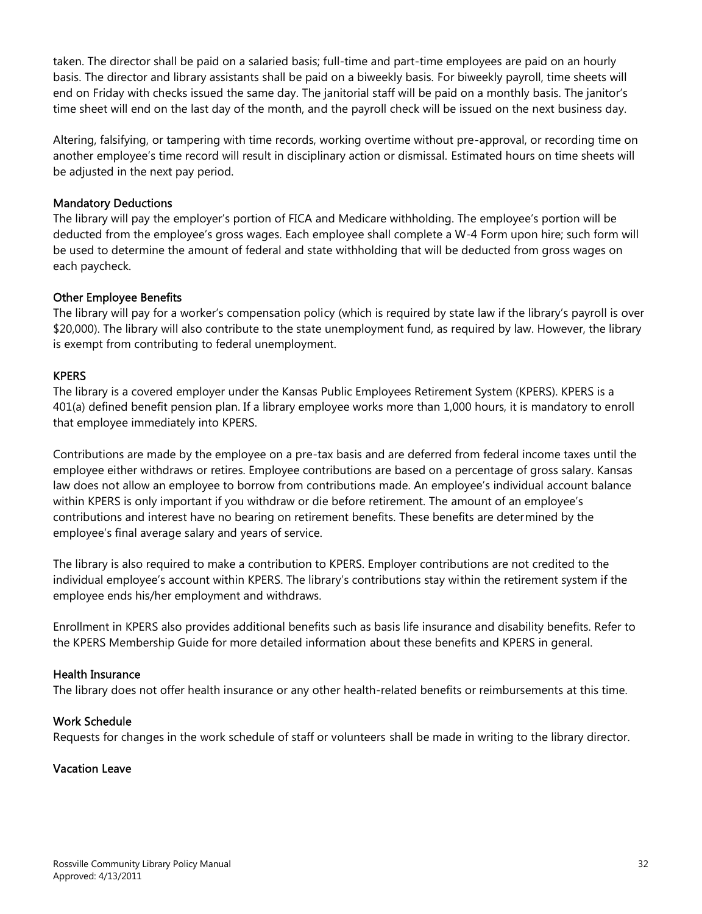taken. The director shall be paid on a salaried basis; full-time and part-time employees are paid on an hourly basis. The director and library assistants shall be paid on a biweekly basis. For biweekly payroll, time sheets will end on Friday with checks issued the same day. The janitorial staff will be paid on a monthly basis. The janitor's time sheet will end on the last day of the month, and the payroll check will be issued on the next business day.

Altering, falsifying, or tampering with time records, working overtime without pre-approval, or recording time on another employee's time record will result in disciplinary action or dismissal. Estimated hours on time sheets will be adjusted in the next pay period.

#### **Mandatory Deductions**

The library will pay the employer's portion of FICA and Medicare withholding. The employee's portion will be deducted from the employee's gross wages. Each employee shall complete a W-4 Form upon hire; such form will be used to determine the amount of federal and state withholding that will be deducted from gross wages on each paycheck.

#### **Other Employee Benefits**

The library will pay for a worker's compensation policy (which is required by state law if the library's payroll is over \$20,000). The library will also contribute to the state unemployment fund, as required by law. However, the library is exempt from contributing to federal unemployment.

#### **KPERS**

The library is a covered employer under the Kansas Public Employees Retirement System (KPERS). KPERS is a 401(a) defined benefit pension plan. If a library employee works more than 1,000 hours, it is mandatory to enroll that employee immediately into KPERS.

Contributions are made by the employee on a pre-tax basis and are deferred from federal income taxes until the employee either withdraws or retires. Employee contributions are based on a percentage of gross salary. Kansas law does not allow an employee to borrow from contributions made. An employee's individual account balance within KPERS is only important if you withdraw or die before retirement. The amount of an employee's contributions and interest have no bearing on retirement benefits. These benefits are determined by the employee's final average salary and years of service.

The library is also required to make a contribution to KPERS. Employer contributions are not credited to the individual employee's account within KPERS. The library's contributions stay within the retirement system if the employee ends his/her employment and withdraws.

Enrollment in KPERS also provides additional benefits such as basis life insurance and disability benefits. Refer to the KPERS Membership Guide for more detailed information about these benefits and KPERS in general.

#### **Health Insurance**

The library does not offer health insurance or any other health-related benefits or reimbursements at this time.

#### **Work Schedule**

Requests for changes in the work schedule of staff or volunteers shall be made in writing to the library director.

#### **Vacation Leave**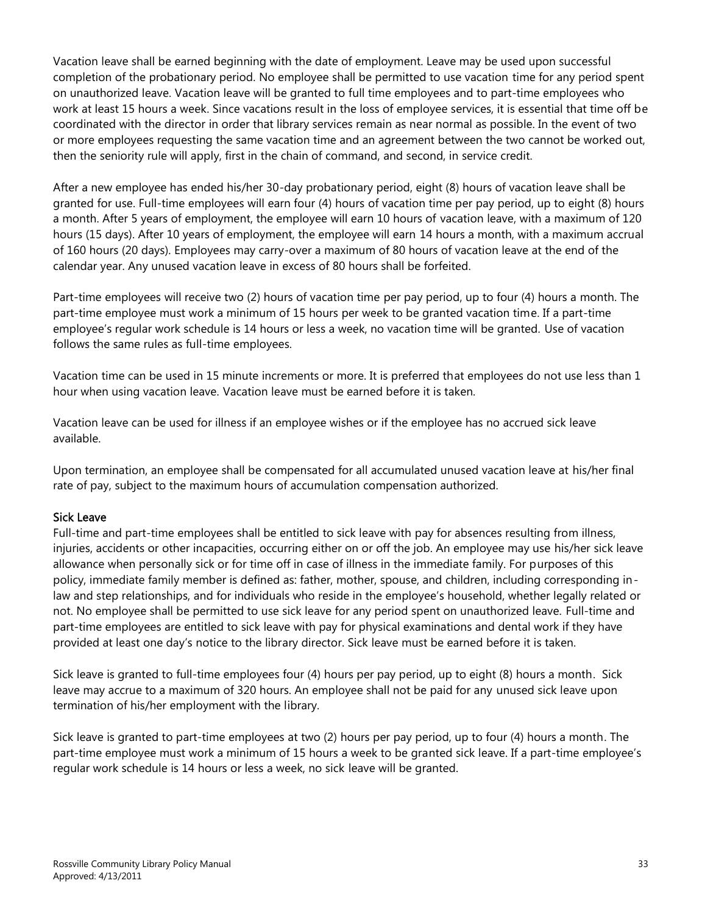Vacation leave shall be earned beginning with the date of employment. Leave may be used upon successful completion of the probationary period. No employee shall be permitted to use vacation time for any period spent on unauthorized leave. Vacation leave will be granted to full time employees and to part-time employees who work at least 15 hours a week. Since vacations result in the loss of employee services, it is essential that time off be coordinated with the director in order that library services remain as near normal as possible. In the event of two or more employees requesting the same vacation time and an agreement between the two cannot be worked out, then the seniority rule will apply, first in the chain of command, and second, in service credit.

After a new employee has ended his/her 30-day probationary period, eight (8) hours of vacation leave shall be granted for use. Full-time employees will earn four (4) hours of vacation time per pay period, up to eight (8) hours a month. After 5 years of employment, the employee will earn 10 hours of vacation leave, with a maximum of 120 hours (15 days). After 10 years of employment, the employee will earn 14 hours a month, with a maximum accrual of 160 hours (20 days). Employees may carry-over a maximum of 80 hours of vacation leave at the end of the calendar year. Any unused vacation leave in excess of 80 hours shall be forfeited.

Part-time employees will receive two (2) hours of vacation time per pay period, up to four (4) hours a month. The part-time employee must work a minimum of 15 hours per week to be granted vacation time. If a part-time employee's regular work schedule is 14 hours or less a week, no vacation time will be granted. Use of vacation follows the same rules as full-time employees.

Vacation time can be used in 15 minute increments or more. It is preferred that employees do not use less than 1 hour when using vacation leave. Vacation leave must be earned before it is taken.

Vacation leave can be used for illness if an employee wishes or if the employee has no accrued sick leave available.

Upon termination, an employee shall be compensated for all accumulated unused vacation leave at his/her final rate of pay, subject to the maximum hours of accumulation compensation authorized.

#### **Sick Leave**

Full-time and part-time employees shall be entitled to sick leave with pay for absences resulting from illness, injuries, accidents or other incapacities, occurring either on or off the job. An employee may use his/her sick leave allowance when personally sick or for time off in case of illness in the immediate family. For purposes of this policy, immediate family member is defined as: father, mother, spouse, and children, including corresponding inlaw and step relationships, and for individuals who reside in the employee's household, whether legally related or not. No employee shall be permitted to use sick leave for any period spent on unauthorized leave. Full-time and part-time employees are entitled to sick leave with pay for physical examinations and dental work if they have provided at least one day's notice to the library director. Sick leave must be earned before it is taken.

Sick leave is granted to full-time employees four (4) hours per pay period, up to eight (8) hours a month. Sick leave may accrue to a maximum of 320 hours. An employee shall not be paid for any unused sick leave upon termination of his/her employment with the library.

Sick leave is granted to part-time employees at two (2) hours per pay period, up to four (4) hours a month. The part-time employee must work a minimum of 15 hours a week to be granted sick leave. If a part-time employee's regular work schedule is 14 hours or less a week, no sick leave will be granted.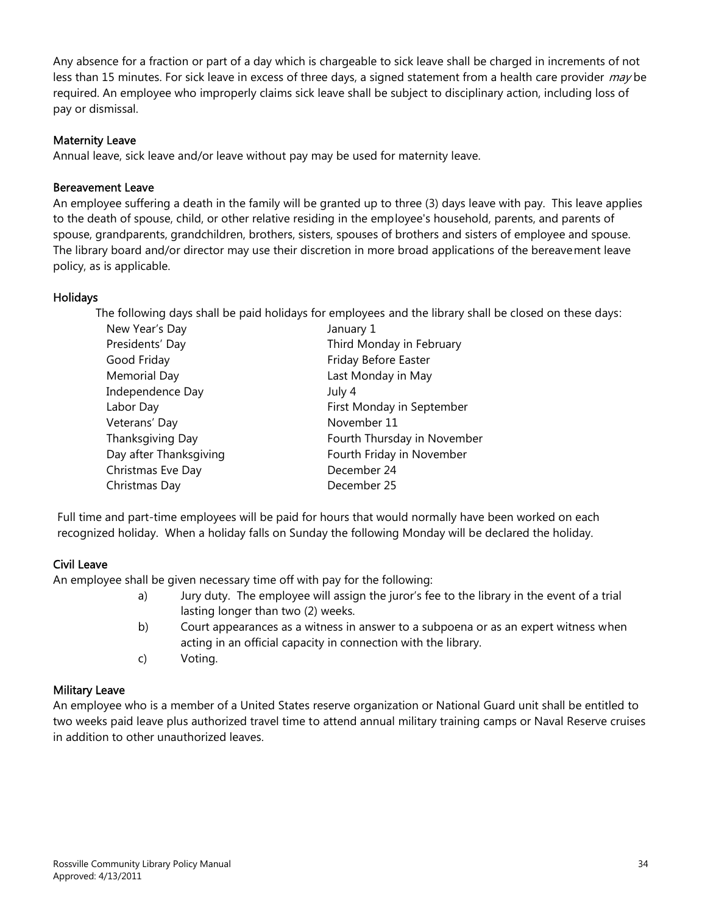Any absence for a fraction or part of a day which is chargeable to sick leave shall be charged in increments of not less than 15 minutes. For sick leave in excess of three days, a signed statement from a health care provider *may* be required. An employee who improperly claims sick leave shall be subject to disciplinary action, including loss of pay or dismissal.

#### **Maternity Leave**

Annual leave, sick leave and/or leave without pay may be used for maternity leave.

#### **Bereavement Leave**

An employee suffering a death in the family will be granted up to three (3) days leave with pay. This leave applies to the death of spouse, child, or other relative residing in the employee's household, parents, and parents of spouse, grandparents, grandchildren, brothers, sisters, spouses of brothers and sisters of employee and spouse. The library board and/or director may use their discretion in more broad applications of the bereavement leave policy, as is applicable.

#### **Holidays**

The following days shall be paid holidays for employees and the library shall be closed on these days:

| New Year's Day         | January 1                   |  |
|------------------------|-----------------------------|--|
| Presidents' Day        | Third Monday in February    |  |
| Good Friday            | Friday Before Easter        |  |
| Memorial Day           | Last Monday in May          |  |
| Independence Day       | July 4                      |  |
| Labor Day              | First Monday in September   |  |
| Veterans' Day          | November 11                 |  |
| Thanksgiving Day       | Fourth Thursday in November |  |
| Day after Thanksgiving | Fourth Friday in November   |  |
| Christmas Eve Day      | December 24                 |  |
| Christmas Day          | December 25                 |  |

Full time and part-time employees will be paid for hours that would normally have been worked on each recognized holiday. When a holiday falls on Sunday the following Monday will be declared the holiday.

#### **Civil Leave**

An employee shall be given necessary time off with pay for the following:

- a) Jury duty. The employee will assign the juror's fee to the library in the event of a trial lasting longer than two (2) weeks.
- b) Court appearances as a witness in answer to a subpoena or as an expert witness when acting in an official capacity in connection with the library.
- c) Voting.

#### **Military Leave**

An employee who is a member of a United States reserve organization or National Guard unit shall be entitled to two weeks paid leave plus authorized travel time to attend annual military training camps or Naval Reserve cruises in addition to other unauthorized leaves.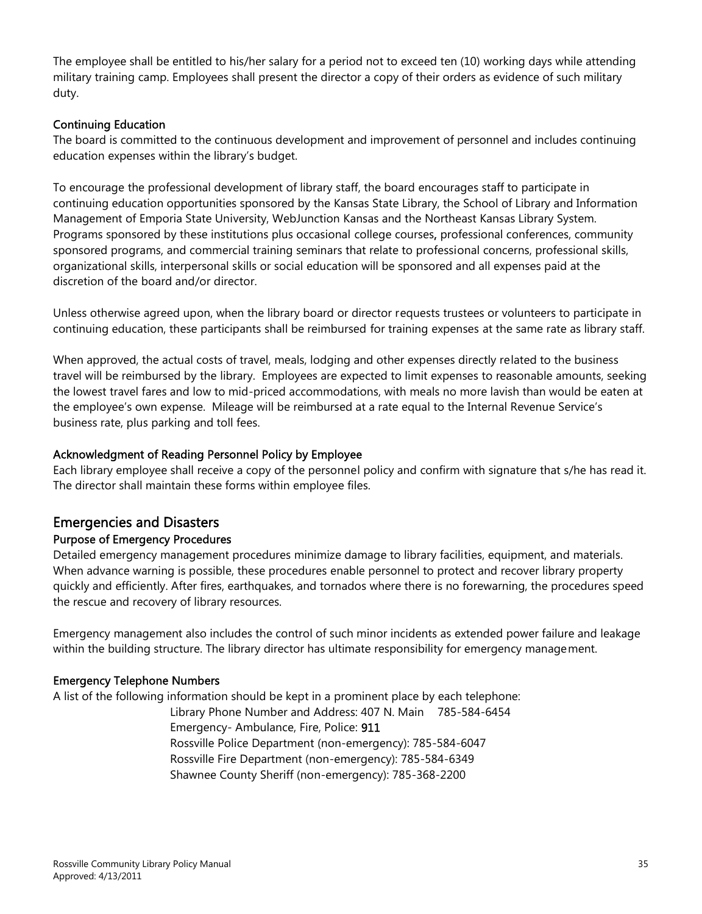The employee shall be entitled to his/her salary for a period not to exceed ten (10) working days while attending military training camp. Employees shall present the director a copy of their orders as evidence of such military duty.

### **Continuing Education**

The board is committed to the continuous development and improvement of personnel and includes continuing education expenses within the library's budget.

To encourage the professional development of library staff, the board encourages staff to participate in continuing education opportunities sponsored by the Kansas State Library, the School of Library and Information Management of Emporia State University, WebJunction Kansas and the Northeast Kansas Library System. Programs sponsored by these institutions plus occasional college courses**,** professional conferences, community sponsored programs, and commercial training seminars that relate to professional concerns, professional skills, organizational skills, interpersonal skills or social education will be sponsored and all expenses paid at the discretion of the board and/or director.

Unless otherwise agreed upon, when the library board or director requests trustees or volunteers to participate in continuing education, these participants shall be reimbursed for training expenses at the same rate as library staff.

When approved, the actual costs of travel, meals, lodging and other expenses directly related to the business travel will be reimbursed by the library. Employees are expected to limit expenses to reasonable amounts, seeking the lowest travel fares and low to mid-priced accommodations, with meals no more lavish than would be eaten at the employee's own expense. Mileage will be reimbursed at a rate equal to the Internal Revenue Service's business rate, plus parking and toll fees.

#### **Acknowledgment of Reading Personnel Policy by Employee**

Each library employee shall receive a copy of the personnel policy and confirm with signature that s/he has read it. The director shall maintain these forms within employee files.

# **Emergencies and Disasters**

#### **Purpose of Emergency Procedures**

Detailed emergency management procedures minimize damage to library facilities, equipment, and materials. When advance warning is possible, these procedures enable personnel to protect and recover library property quickly and efficiently. After fires, earthquakes, and tornados where there is no forewarning, the procedures speed the rescue and recovery of library resources.

Emergency management also includes the control of such minor incidents as extended power failure and leakage within the building structure. The library director has ultimate responsibility for emergency management.

#### **Emergency Telephone Numbers**

A list of the following information should be kept in a prominent place by each telephone:

Library Phone Number and Address: 407 N. Main 785-584-6454 Emergency- Ambulance, Fire, Police: **911** Rossville Police Department (non-emergency): 785-584-6047 Rossville Fire Department (non-emergency): 785-584-6349 Shawnee County Sheriff (non-emergency): 785-368-2200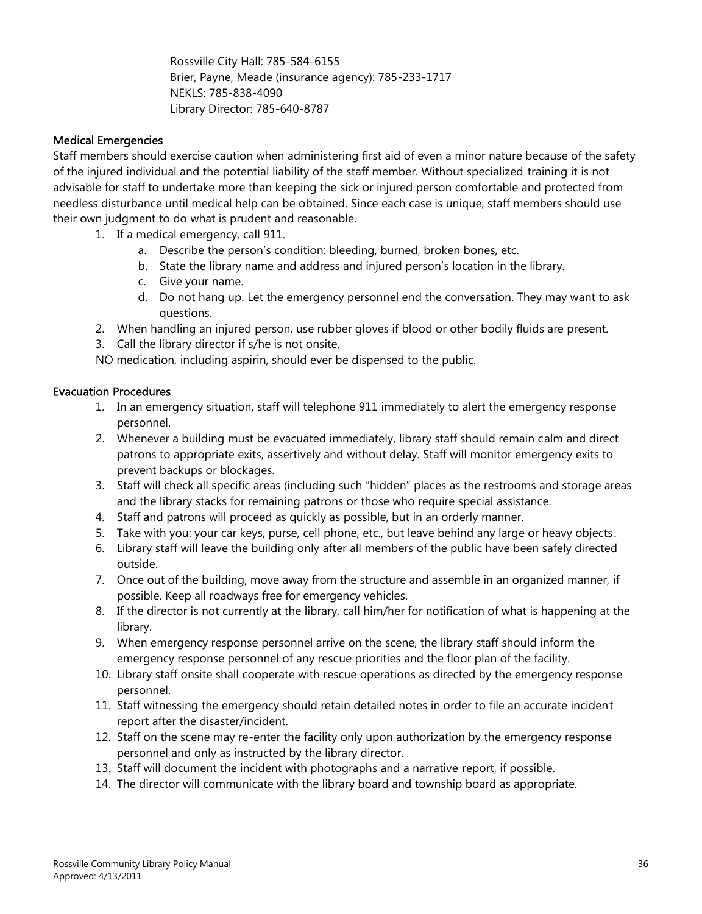Rossville City Hall: 785-584-6155 Brier, Payne, Meade (insurance agency): 785-233-1717 NEKLS: 785-838-4090 Library Director: 785-640-8787

#### **Medical Emergencies**

Staff members should exercise caution when administering first aid of even a minor nature because of the safety of the injured individual and the potential liability of the staff member. Without specialized training it is not advisable for staff to undertake more than keeping the sick or injured person comfortable and protected from needless disturbance until medical help can be obtained. Since each case is unique, staff members should use their own judgment to do what is prudent and reasonable.

- 1. If a medical emergency, call 911.
	- a. Describe the person's condition: bleeding, burned, broken bones, etc.
	- b. State the library name and address and injured person's location in the library.
	- c. Give your name.
	- d. Do not hang up. Let the emergency personnel end the conversation. They may want to ask questions.
- 2. When handling an injured person, use rubber gloves if blood or other bodily fluids are present.
- 3. Call the library director if s/he is not onsite.

NO medication, including aspirin, should ever be dispensed to the public.

#### **Evacuation Procedures**

- 1. In an emergency situation, staff will telephone 911 immediately to alert the emergency response personnel.
- 2. Whenever a building must be evacuated immediately, library staff should remain calm and direct patrons to appropriate exits, assertively and without delay. Staff will monitor emergency exits to prevent backups or blockages.
- 3. Staff will check all specific areas (including such "hidden" places as the restrooms and storage areas and the library stacks for remaining patrons or those who require special assistance.
- 4. Staff and patrons will proceed as quickly as possible, but in an orderly manner.
- 5. Take with you: your car keys, purse, cell phone, etc., but leave behind any large or heavy objects.
- 6. Library staff will leave the building only after all members of the public have been safely directed outside.
- 7. Once out of the building, move away from the structure and assemble in an organized manner, if possible. Keep all roadways free for emergency vehicles.
- 8. If the director is not currently at the library, call him/her for notification of what is happening at the library.
- 9. When emergency response personnel arrive on the scene, the library staff should inform the emergency response personnel of any rescue priorities and the floor plan of the facility.
- 10. Library staff onsite shall cooperate with rescue operations as directed by the emergency response personnel.
- 11. Staff witnessing the emergency should retain detailed notes in order to file an accurate incident report after the disaster/incident.
- 12. Staff on the scene may re-enter the facility only upon authorization by the emergency response personnel and only as instructed by the library director.
- 13. Staff will document the incident with photographs and a narrative report, if possible.
- 14. The director will communicate with the library board and township board as appropriate.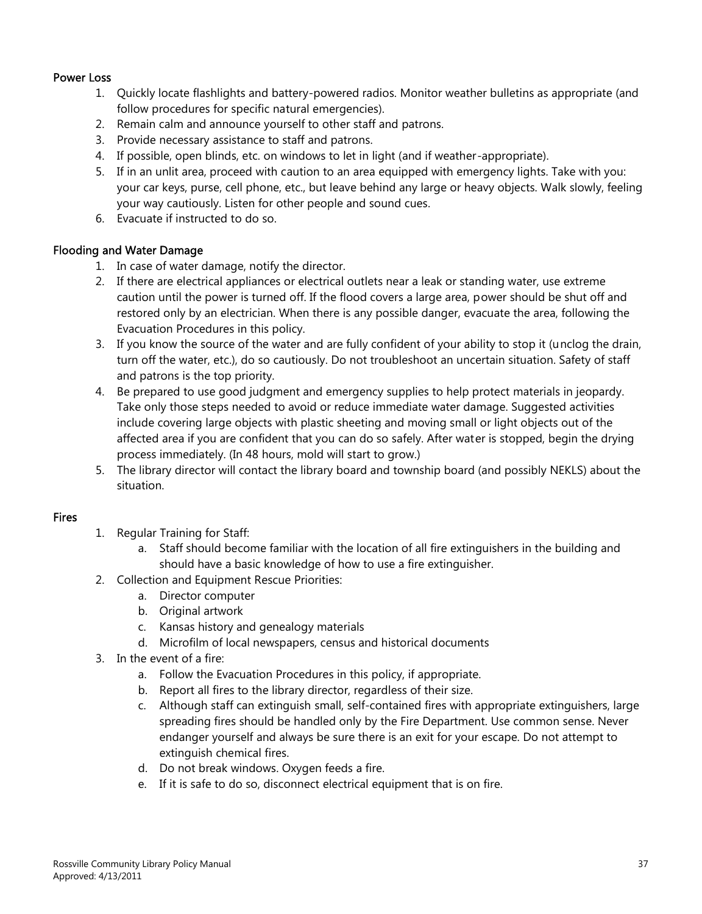#### **Power Loss**

- 1. Quickly locate flashlights and battery-powered radios. Monitor weather bulletins as appropriate (and follow procedures for specific natural emergencies).
- 2. Remain calm and announce yourself to other staff and patrons.
- 3. Provide necessary assistance to staff and patrons.
- 4. If possible, open blinds, etc. on windows to let in light (and if weather-appropriate).
- 5. If in an unlit area, proceed with caution to an area equipped with emergency lights. Take with you: your car keys, purse, cell phone, etc., but leave behind any large or heavy objects. Walk slowly, feeling your way cautiously. Listen for other people and sound cues.
- 6. Evacuate if instructed to do so.

#### **Flooding and Water Damage**

- 1. In case of water damage, notify the director.
- 2. If there are electrical appliances or electrical outlets near a leak or standing water, use extreme caution until the power is turned off. If the flood covers a large area, power should be shut off and restored only by an electrician. When there is any possible danger, evacuate the area, following the Evacuation Procedures in this policy.
- 3. If you know the source of the water and are fully confident of your ability to stop it (unclog the drain, turn off the water, etc.), do so cautiously. Do not troubleshoot an uncertain situation. Safety of staff and patrons is the top priority.
- 4. Be prepared to use good judgment and emergency supplies to help protect materials in jeopardy. Take only those steps needed to avoid or reduce immediate water damage. Suggested activities include covering large objects with plastic sheeting and moving small or light objects out of the affected area if you are confident that you can do so safely. After water is stopped, begin the drying process immediately. (In 48 hours, mold will start to grow.)
- 5. The library director will contact the library board and township board (and possibly NEKLS) about the situation.

#### **Fires**

- 1. Regular Training for Staff:
	- a. Staff should become familiar with the location of all fire extinguishers in the building and should have a basic knowledge of how to use a fire extinguisher.
- 2. Collection and Equipment Rescue Priorities:
	- a. Director computer
	- b. Original artwork
	- c. Kansas history and genealogy materials
	- d. Microfilm of local newspapers, census and historical documents
- 3. In the event of a fire:
	- a. Follow the Evacuation Procedures in this policy, if appropriate.
	- b. Report all fires to the library director, regardless of their size.
	- c. Although staff can extinguish small, self-contained fires with appropriate extinguishers, large spreading fires should be handled only by the Fire Department. Use common sense. Never endanger yourself and always be sure there is an exit for your escape. Do not attempt to extinguish chemical fires.
	- d. Do not break windows. Oxygen feeds a fire.
	- e. If it is safe to do so, disconnect electrical equipment that is on fire.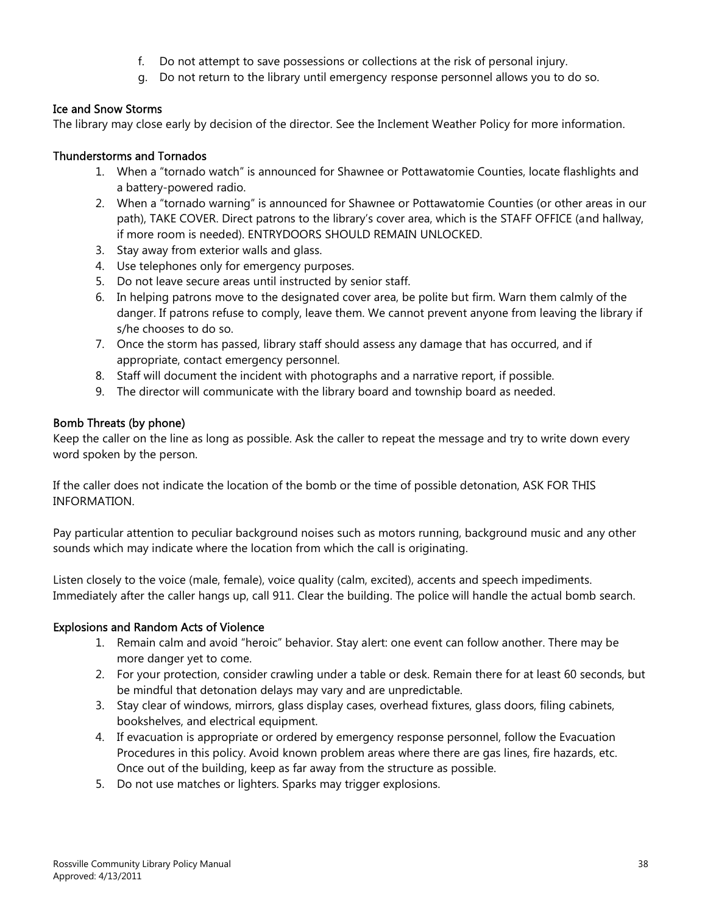- f. Do not attempt to save possessions or collections at the risk of personal injury.
- g. Do not return to the library until emergency response personnel allows you to do so.

#### **Ice and Snow Storms**

The library may close early by decision of the director. See the Inclement Weather Policy for more information.

# **Thunderstorms and Tornados**

- 1. When a "tornado watch" is announced for Shawnee or Pottawatomie Counties, locate flashlights and a battery-powered radio.
- 2. When a "tornado warning" is announced for Shawnee or Pottawatomie Counties (or other areas in our path), TAKE COVER. Direct patrons to the library's cover area, which is the STAFF OFFICE (and hallway, if more room is needed). ENTRYDOORS SHOULD REMAIN UNLOCKED.
- 3. Stay away from exterior walls and glass.
- 4. Use telephones only for emergency purposes.
- 5. Do not leave secure areas until instructed by senior staff.
- 6. In helping patrons move to the designated cover area, be polite but firm. Warn them calmly of the danger. If patrons refuse to comply, leave them. We cannot prevent anyone from leaving the library if s/he chooses to do so.
- 7. Once the storm has passed, library staff should assess any damage that has occurred, and if appropriate, contact emergency personnel.
- 8. Staff will document the incident with photographs and a narrative report, if possible.
- 9. The director will communicate with the library board and township board as needed.

# **Bomb Threats (by phone)**

Keep the caller on the line as long as possible. Ask the caller to repeat the message and try to write down every word spoken by the person.

If the caller does not indicate the location of the bomb or the time of possible detonation, ASK FOR THIS INFORMATION.

Pay particular attention to peculiar background noises such as motors running, background music and any other sounds which may indicate where the location from which the call is originating.

Listen closely to the voice (male, female), voice quality (calm, excited), accents and speech impediments. Immediately after the caller hangs up, call 911. Clear the building. The police will handle the actual bomb search.

# **Explosions and Random Acts of Violence**

- 1. Remain calm and avoid "heroic" behavior. Stay alert: one event can follow another. There may be more danger yet to come.
- 2. For your protection, consider crawling under a table or desk. Remain there for at least 60 seconds, but be mindful that detonation delays may vary and are unpredictable.
- 3. Stay clear of windows, mirrors, glass display cases, overhead fixtures, glass doors, filing cabinets, bookshelves, and electrical equipment.
- 4. If evacuation is appropriate or ordered by emergency response personnel, follow the Evacuation Procedures in this policy. Avoid known problem areas where there are gas lines, fire hazards, etc. Once out of the building, keep as far away from the structure as possible.
- 5. Do not use matches or lighters. Sparks may trigger explosions.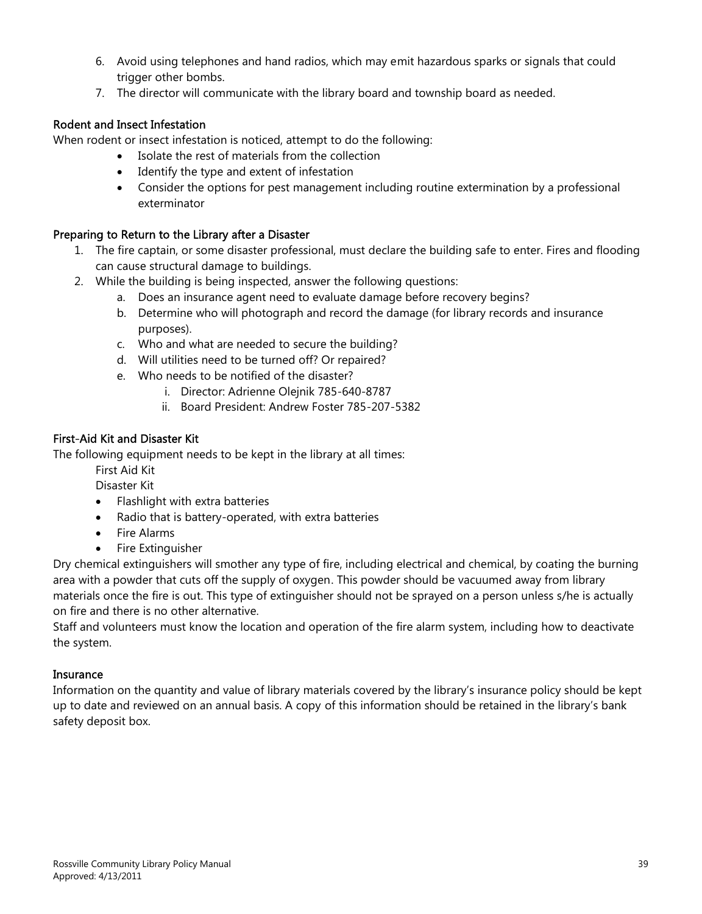- 6. Avoid using telephones and hand radios, which may emit hazardous sparks or signals that could trigger other bombs.
- 7. The director will communicate with the library board and township board as needed.

# **Rodent and Insect Infestation**

When rodent or insect infestation is noticed, attempt to do the following:

- Isolate the rest of materials from the collection
- Identify the type and extent of infestation
- Consider the options for pest management including routine extermination by a professional exterminator

#### **Preparing to Return to the Library after a Disaster**

- 1. The fire captain, or some disaster professional, must declare the building safe to enter. Fires and flooding can cause structural damage to buildings.
- 2. While the building is being inspected, answer the following questions:
	- a. Does an insurance agent need to evaluate damage before recovery begins?
	- b. Determine who will photograph and record the damage (for library records and insurance purposes).
	- c. Who and what are needed to secure the building?
	- d. Will utilities need to be turned off? Or repaired?
	- e. Who needs to be notified of the disaster?
		- i. Director: Adrienne Olejnik 785-640-8787
		- ii. Board President: Andrew Foster 785-207-5382

# **First-Aid Kit and Disaster Kit**

The following equipment needs to be kept in the library at all times:

First Aid Kit

Disaster Kit

- Flashlight with extra batteries
- Radio that is battery-operated, with extra batteries
- Fire Alarms
- Fire Extinguisher

Dry chemical extinguishers will smother any type of fire, including electrical and chemical, by coating the burning area with a powder that cuts off the supply of oxygen. This powder should be vacuumed away from library materials once the fire is out. This type of extinguisher should not be sprayed on a person unless s/he is actually on fire and there is no other alternative.

Staff and volunteers must know the location and operation of the fire alarm system, including how to deactivate the system.

#### **Insurance**

Information on the quantity and value of library materials covered by the library's insurance policy should be kept up to date and reviewed on an annual basis. A copy of this information should be retained in the library's bank safety deposit box.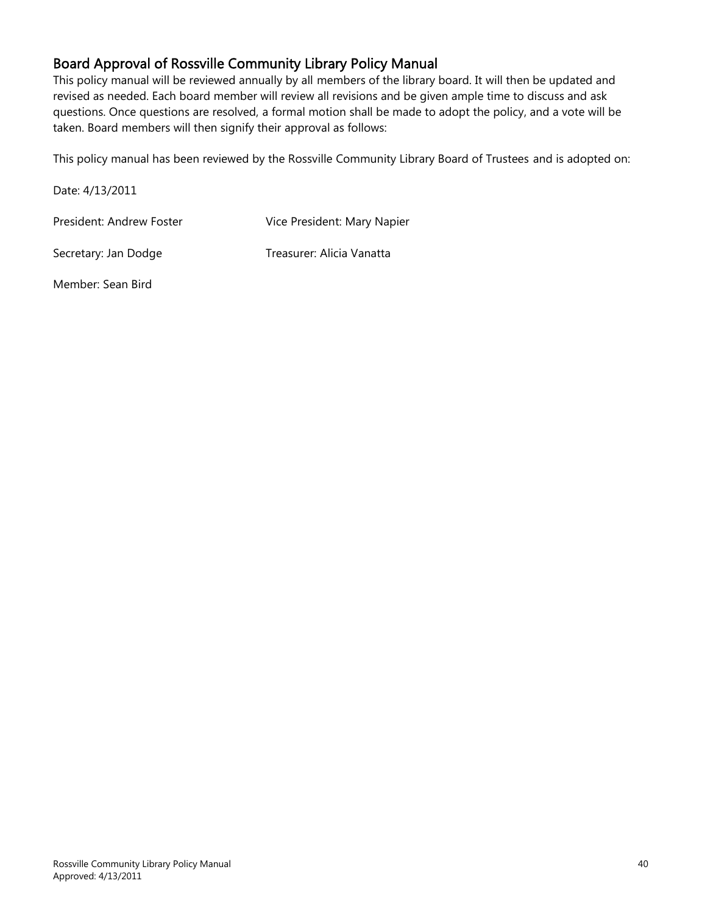# **Board Approval of Rossville Community Library Policy Manual**

This policy manual will be reviewed annually by all members of the library board. It will then be updated and revised as needed. Each board member will review all revisions and be given ample time to discuss and ask questions. Once questions are resolved, a formal motion shall be made to adopt the policy, and a vote will be taken. Board members will then signify their approval as follows:

This policy manual has been reviewed by the Rossville Community Library Board of Trustees and is adopted on:

Date: 4/13/2011

President: Andrew Foster Vice President: Mary Napier

Secretary: Jan Dodge Treasurer: Alicia Vanatta

Member: Sean Bird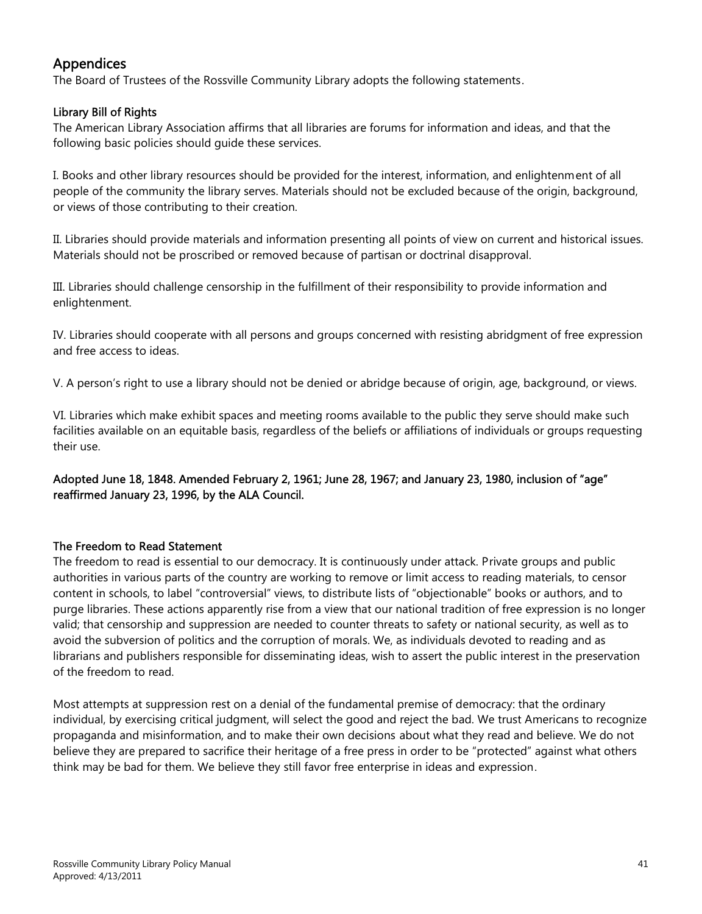# **Appendices**

The Board of Trustees of the Rossville Community Library adopts the following statements.

#### **Library Bill of Rights**

The American Library Association affirms that all libraries are forums for information and ideas, and that the following basic policies should guide these services.

I. Books and other library resources should be provided for the interest, information, and enlightenment of all people of the community the library serves. Materials should not be excluded because of the origin, background, or views of those contributing to their creation.

II. Libraries should provide materials and information presenting all points of view on current and historical issues. Materials should not be proscribed or removed because of partisan or doctrinal disapproval.

III. Libraries should challenge censorship in the fulfillment of their responsibility to provide information and enlightenment.

IV. Libraries should cooperate with all persons and groups concerned with resisting abridgment of free expression and free access to ideas.

V. A person's right to use a library should not be denied or abridge because of origin, age, background, or views.

VI. Libraries which make exhibit spaces and meeting rooms available to the public they serve should make such facilities available on an equitable basis, regardless of the beliefs or affiliations of individuals or groups requesting their use.

**Adopted June 18, 1848. Amended February 2, 1961; June 28, 1967; and January 23, 1980, inclusion of "age" reaffirmed January 23, 1996, by the ALA Council.**

#### **The Freedom to Read Statement**

The freedom to read is essential to our democracy. It is continuously under attack. Private groups and public authorities in various parts of the country are working to remove or limit access to reading materials, to censor content in schools, to label "controversial" views, to distribute lists of "objectionable" books or authors, and to purge libraries. These actions apparently rise from a view that our national tradition of free expression is no longer valid; that censorship and suppression are needed to counter threats to safety or national security, as well as to avoid the subversion of politics and the corruption of morals. We, as individuals devoted to reading and as librarians and publishers responsible for disseminating ideas, wish to assert the public interest in the preservation of the freedom to read.

Most attempts at suppression rest on a denial of the fundamental premise of democracy: that the ordinary individual, by exercising critical judgment, will select the good and reject the bad. We trust Americans to recognize propaganda and misinformation, and to make their own decisions about what they read and believe. We do not believe they are prepared to sacrifice their heritage of a free press in order to be "protected" against what others think may be bad for them. We believe they still favor free enterprise in ideas and expression.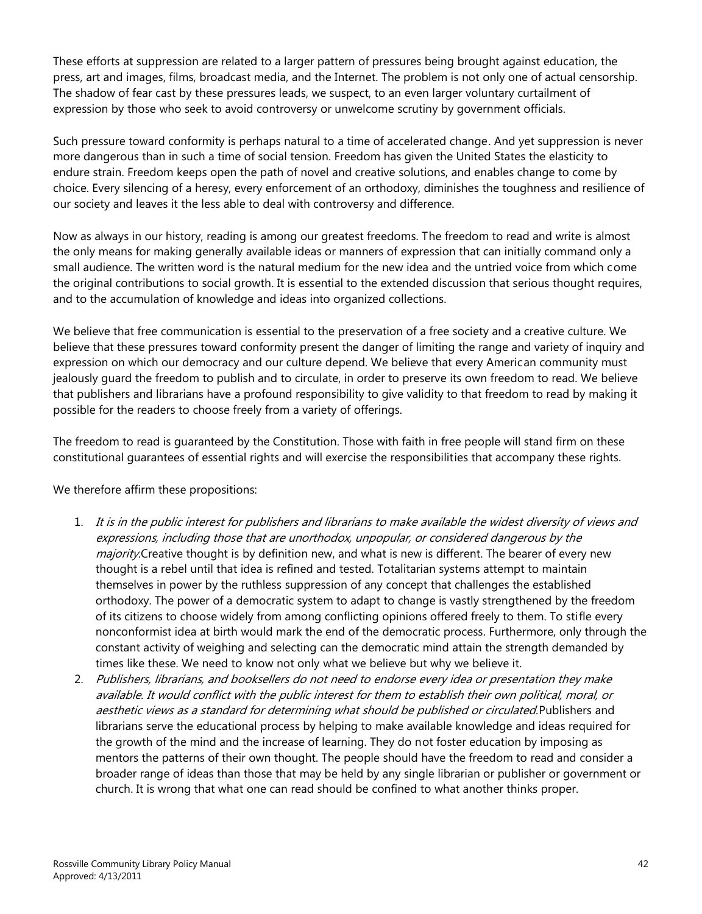These efforts at suppression are related to a larger pattern of pressures being brought against education, the press, art and images, films, broadcast media, and the Internet. The problem is not only one of actual censorship. The shadow of fear cast by these pressures leads, we suspect, to an even larger voluntary curtailment of expression by those who seek to avoid controversy or unwelcome scrutiny by government officials.

Such pressure toward conformity is perhaps natural to a time of accelerated change. And yet suppression is never more dangerous than in such a time of social tension. Freedom has given the United States the elasticity to endure strain. Freedom keeps open the path of novel and creative solutions, and enables change to come by choice. Every silencing of a heresy, every enforcement of an orthodoxy, diminishes the toughness and resilience of our society and leaves it the less able to deal with controversy and difference.

Now as always in our history, reading is among our greatest freedoms. The freedom to read and write is almost the only means for making generally available ideas or manners of expression that can initially command only a small audience. The written word is the natural medium for the new idea and the untried voice from which come the original contributions to social growth. It is essential to the extended discussion that serious thought requires, and to the accumulation of knowledge and ideas into organized collections.

We believe that free communication is essential to the preservation of a free society and a creative culture. We believe that these pressures toward conformity present the danger of limiting the range and variety of inquiry and expression on which our democracy and our culture depend. We believe that every American community must jealously guard the freedom to publish and to circulate, in order to preserve its own freedom to read. We believe that publishers and librarians have a profound responsibility to give validity to that freedom to read by making it possible for the readers to choose freely from a variety of offerings.

The freedom to read is guaranteed by the Constitution. Those with faith in free people will stand firm on these constitutional guarantees of essential rights and will exercise the responsibilities that accompany these rights.

#### We therefore affirm these propositions:

- 1. *It is in the public interest for publishers and librarians to make available the widest diversity of views and expressions, including those that are unorthodox, unpopular, or considered dangerous by the majority.*Creative thought is by definition new, and what is new is different. The bearer of every new thought is a rebel until that idea is refined and tested. Totalitarian systems attempt to maintain themselves in power by the ruthless suppression of any concept that challenges the established orthodoxy. The power of a democratic system to adapt to change is vastly strengthened by the freedom of its citizens to choose widely from among conflicting opinions offered freely to them. To stifle every nonconformist idea at birth would mark the end of the democratic process. Furthermore, only through the constant activity of weighing and selecting can the democratic mind attain the strength demanded by times like these. We need to know not only what we believe but why we believe it.
- 2. *Publishers, librarians, and booksellers do not need to endorse every idea or presentation they make available. It would conflict with the public interest for them to establish their own political, moral, or aesthetic views as a standard for determining what should be published or circulated.*Publishers and librarians serve the educational process by helping to make available knowledge and ideas required for the growth of the mind and the increase of learning. They do not foster education by imposing as mentors the patterns of their own thought. The people should have the freedom to read and consider a broader range of ideas than those that may be held by any single librarian or publisher or government or church. It is wrong that what one can read should be confined to what another thinks proper.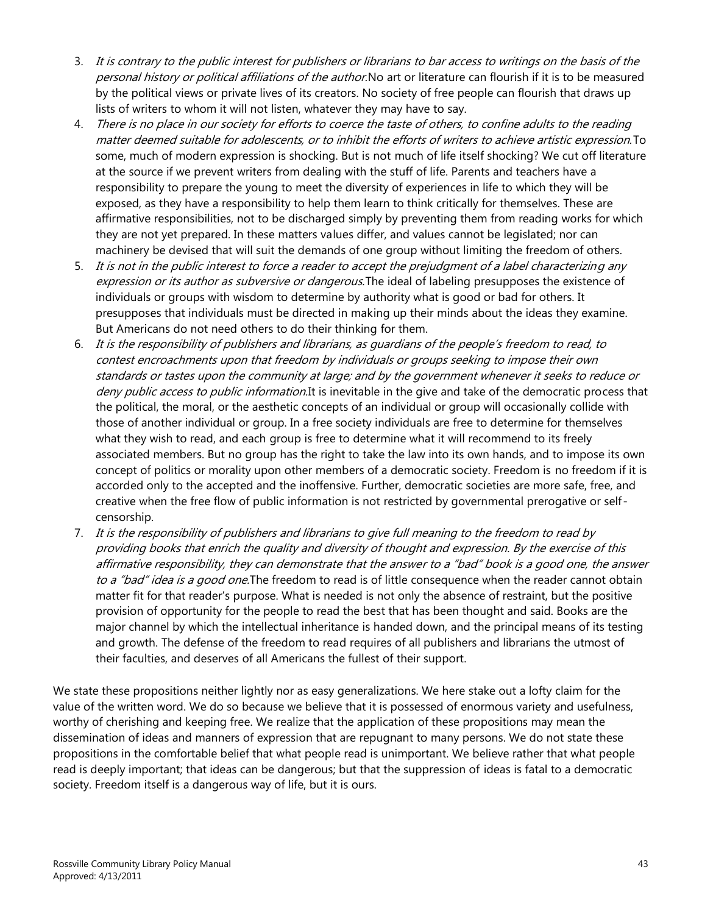- 3. *It is contrary to the public interest for publishers or librarians to bar access to writings on the basis of the personal history or political affiliations of the author.*No art or literature can flourish if it is to be measured by the political views or private lives of its creators. No society of free people can flourish that draws up lists of writers to whom it will not listen, whatever they may have to say.
- 4. *There is no place in our society for efforts to coerce the taste of others, to confine adults to the reading matter deemed suitable for adolescents, or to inhibit the efforts of writers to achieve artistic expression.*To some, much of modern expression is shocking. But is not much of life itself shocking? We cut off literature at the source if we prevent writers from dealing with the stuff of life. Parents and teachers have a responsibility to prepare the young to meet the diversity of experiences in life to which they will be exposed, as they have a responsibility to help them learn to think critically for themselves. These are affirmative responsibilities, not to be discharged simply by preventing them from reading works for which they are not yet prepared. In these matters values differ, and values cannot be legislated; nor can machinery be devised that will suit the demands of one group without limiting the freedom of others.
- 5. *It is not in the public interest to force a reader to accept the prejudgment of a label characterizing any expression or its author as subversive or dangerous.*The ideal of labeling presupposes the existence of individuals or groups with wisdom to determine by authority what is good or bad for others. It presupposes that individuals must be directed in making up their minds about the ideas they examine. But Americans do not need others to do their thinking for them.
- 6. *It is the responsibility of publishers and librarians, as guardians of the people's freedom to read, to contest encroachments upon that freedom by individuals or groups seeking to impose their own standards or tastes upon the community at large; and by the government whenever it seeks to reduce or deny public access to public information.*It is inevitable in the give and take of the democratic process that the political, the moral, or the aesthetic concepts of an individual or group will occasionally collide with those of another individual or group. In a free society individuals are free to determine for themselves what they wish to read, and each group is free to determine what it will recommend to its freely associated members. But no group has the right to take the law into its own hands, and to impose its own concept of politics or morality upon other members of a democratic society. Freedom is no freedom if it is accorded only to the accepted and the inoffensive. Further, democratic societies are more safe, free, and creative when the free flow of public information is not restricted by governmental prerogative or selfcensorship.
- 7. *It is the responsibility of publishers and librarians to give full meaning to the freedom to read by providing books that enrich the quality and diversity of thought and expression. By the exercise of this affirmative responsibility, they can demonstrate that the answer to a "bad" book is a good one, the answer to a "bad" idea is a good one.*The freedom to read is of little consequence when the reader cannot obtain matter fit for that reader's purpose. What is needed is not only the absence of restraint, but the positive provision of opportunity for the people to read the best that has been thought and said. Books are the major channel by which the intellectual inheritance is handed down, and the principal means of its testing and growth. The defense of the freedom to read requires of all publishers and librarians the utmost of their faculties, and deserves of all Americans the fullest of their support.

We state these propositions neither lightly nor as easy generalizations. We here stake out a lofty claim for the value of the written word. We do so because we believe that it is possessed of enormous variety and usefulness, worthy of cherishing and keeping free. We realize that the application of these propositions may mean the dissemination of ideas and manners of expression that are repugnant to many persons. We do not state these propositions in the comfortable belief that what people read is unimportant. We believe rather that what people read is deeply important; that ideas can be dangerous; but that the suppression of ideas is fatal to a democratic society. Freedom itself is a dangerous way of life, but it is ours.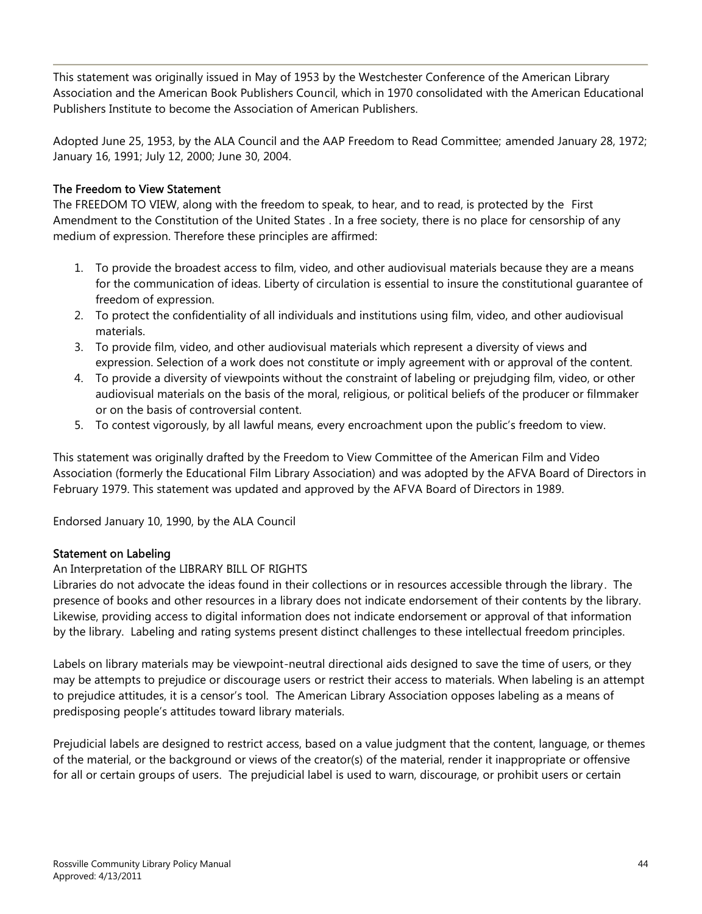This statement was originally issued in May of 1953 by the Westchester Conference of the American Library Association and the American Book Publishers Council, which in 1970 consolidated with the American Educational Publishers Institute to become the Association of American Publishers.

Adopted June 25, 1953, by the ALA Council and the AAP Freedom to Read Committee; amended January 28, 1972; January 16, 1991; July 12, 2000; June 30, 2004.

# **The Freedom to View Statement**

The FREEDOM TO VIEW, along with the freedom to speak, to hear, and to read, is protected by the First Amendment to the Constitution of the United States . In a free society, there is no place for censorship of any medium of expression. Therefore these principles are affirmed:

- 1. To provide the broadest access to film, video, and other audiovisual materials because they are a means for the communication of ideas. Liberty of circulation is essential to insure the constitutional guarantee of freedom of expression.
- 2. To protect the confidentiality of all individuals and institutions using film, video, and other audiovisual materials.
- 3. To provide film, video, and other audiovisual materials which represent a diversity of views and expression. Selection of a work does not constitute or imply agreement with or approval of the content.
- 4. To provide a diversity of viewpoints without the constraint of labeling or prejudging film, video, or other audiovisual materials on the basis of the moral, religious, or political beliefs of the producer or filmmaker or on the basis of controversial content.
- 5. To contest vigorously, by all lawful means, every encroachment upon the public's freedom to view.

This statement was originally drafted by the Freedom to View Committee of the American Film and Video Association (formerly the Educational Film Library Association) and was adopted by the AFVA Board of Directors in February 1979. This statement was updated and approved by the AFVA Board of Directors in 1989.

Endorsed January 10, 1990, by the ALA Council

#### **Statement on Labeling**

#### An Interpretation of the LIBRARY BILL OF RIGHTS

Libraries do not advocate the ideas found in their collections or in resources accessible through the library. The presence of books and other resources in a library does not indicate endorsement of their contents by the library. Likewise, providing access to digital information does not indicate endorsement or approval of that information by the library. Labeling and rating systems present distinct challenges to these intellectual freedom principles.

Labels on library materials may be viewpoint-neutral directional aids designed to save the time of users, or they may be attempts to prejudice or discourage users or restrict their access to materials. When labeling is an attempt to prejudice attitudes, it is a censor's tool. The American Library Association opposes labeling as a means of predisposing people's attitudes toward library materials.

Prejudicial labels are designed to restrict access, based on a value judgment that the content, language, or themes of the material, or the background or views of the creator(s) of the material, render it inappropriate or offensive for all or certain groups of users. The prejudicial label is used to warn, discourage, or prohibit users or certain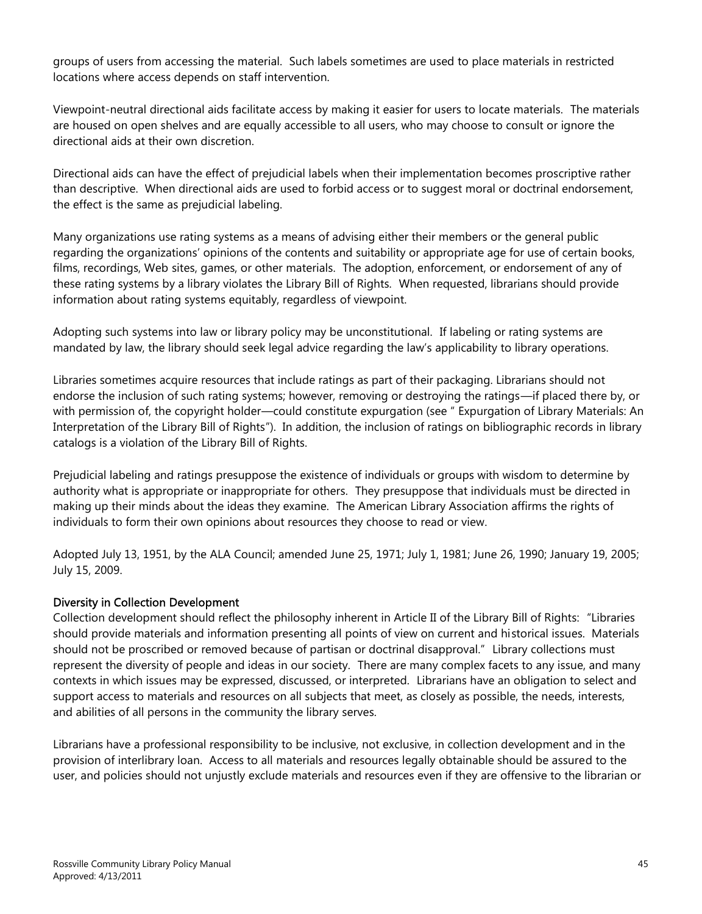groups of users from accessing the material. Such labels sometimes are used to place materials in restricted locations where access depends on staff intervention.

Viewpoint-neutral directional aids facilitate access by making it easier for users to locate materials. The materials are housed on open shelves and are equally accessible to all users, who may choose to consult or ignore the directional aids at their own discretion.

Directional aids can have the effect of prejudicial labels when their implementation becomes proscriptive rather than descriptive. When directional aids are used to forbid access or to suggest moral or doctrinal endorsement, the effect is the same as prejudicial labeling.

Many organizations use rating systems as a means of advising either their members or the general public regarding the organizations' opinions of the contents and suitability or appropriate age for use of certain books, films, recordings, Web sites, games, or other materials. The adoption, enforcement, or endorsement of any of these rating systems by a library violates the Library Bill of Rights. When requested, librarians should provide information about rating systems equitably, regardless of viewpoint.

Adopting such systems into law or library policy may be unconstitutional. If labeling or rating systems are mandated by law, the library should seek legal advice regarding the law's applicability to library operations.

Libraries sometimes acquire resources that include ratings as part of their packaging. Librarians should not endorse the inclusion of such rating systems; however, removing or destroying the ratings—if placed there by, or with permission of, the copyright holder—could constitute expurgation (see " Expurgation of Library Materials: An Interpretation of the Library Bill of Rights"). In addition, the inclusion of ratings on bibliographic records in library catalogs is a violation of the Library Bill of Rights.

Prejudicial labeling and ratings presuppose the existence of individuals or groups with wisdom to determine by authority what is appropriate or inappropriate for others. They presuppose that individuals must be directed in making up their minds about the ideas they examine. The American Library Association affirms the rights of individuals to form their own opinions about resources they choose to read or view.

Adopted July 13, 1951, by the ALA Council; amended June 25, 1971; July 1, 1981; June 26, 1990; January 19, 2005; July 15, 2009.

#### **Diversity in Collection Development**

Collection development should reflect the philosophy inherent in Article II of the Library Bill of Rights: "Libraries should provide materials and information presenting all points of view on current and historical issues. Materials should not be proscribed or removed because of partisan or doctrinal disapproval." Library collections must represent the diversity of people and ideas in our society. There are many complex facets to any issue, and many contexts in which issues may be expressed, discussed, or interpreted. Librarians have an obligation to select and support access to materials and resources on all subjects that meet, as closely as possible, the needs, interests, and abilities of all persons in the community the library serves.

Librarians have a professional responsibility to be inclusive, not exclusive, in collection development and in the provision of interlibrary loan. Access to all materials and resources legally obtainable should be assured to the user, and policies should not unjustly exclude materials and resources even if they are offensive to the librarian or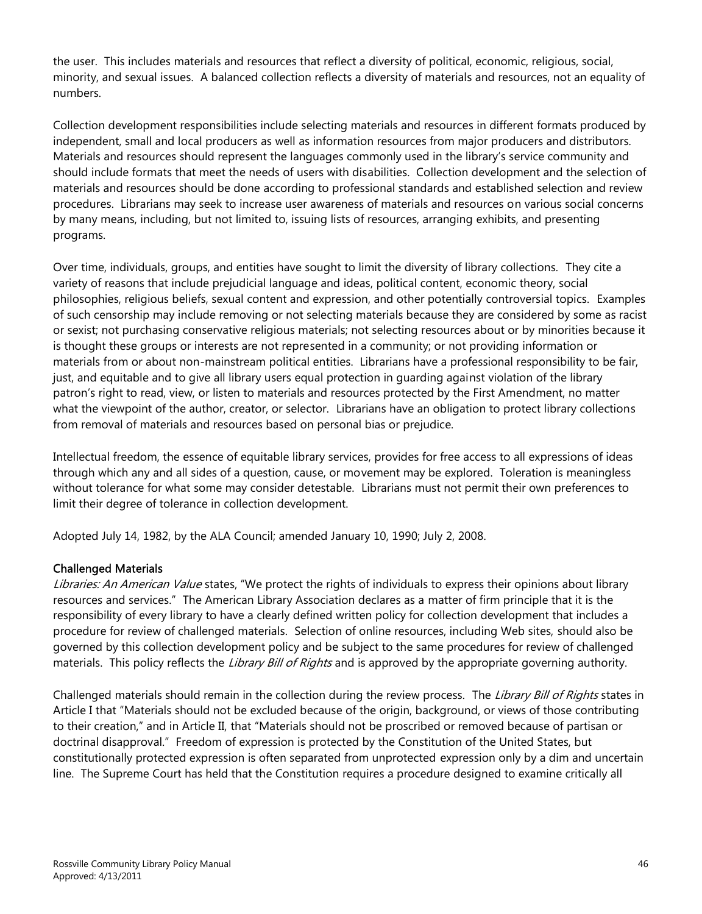the user. This includes materials and resources that reflect a diversity of political, economic, religious, social, minority, and sexual issues. A balanced collection reflects a diversity of materials and resources, not an equality of numbers.

Collection development responsibilities include selecting materials and resources in different formats produced by independent, small and local producers as well as information resources from major producers and distributors. Materials and resources should represent the languages commonly used in the library's service community and should include formats that meet the needs of users with disabilities. Collection development and the selection of materials and resources should be done according to professional standards and established selection and review procedures. Librarians may seek to increase user awareness of materials and resources on various social concerns by many means, including, but not limited to, issuing lists of resources, arranging exhibits, and presenting programs.

Over time, individuals, groups, and entities have sought to limit the diversity of library collections. They cite a variety of reasons that include prejudicial language and ideas, political content, economic theory, social philosophies, religious beliefs, sexual content and expression, and other potentially controversial topics. Examples of such censorship may include removing or not selecting materials because they are considered by some as racist or sexist; not purchasing conservative religious materials; not selecting resources about or by minorities because it is thought these groups or interests are not represented in a community; or not providing information or materials from or about non-mainstream political entities. Librarians have a professional responsibility to be fair, just, and equitable and to give all library users equal protection in guarding against violation of the library patron's right to read, view, or listen to materials and resources protected by the First Amendment, no matter what the viewpoint of the author, creator, or selector. Librarians have an obligation to protect library collections from removal of materials and resources based on personal bias or prejudice.

Intellectual freedom, the essence of equitable library services, provides for free access to all expressions of ideas through which any and all sides of a question, cause, or movement may be explored. Toleration is meaningless without tolerance for what some may consider detestable. Librarians must not permit their own preferences to limit their degree of tolerance in collection development.

Adopted July 14, 1982, by the ALA Council; amended January 10, 1990; July 2, 2008.

#### **Challenged Materials**

*Libraries: An American Value* states, "We protect the rights of individuals to express their opinions about library resources and services." The American Library Association declares as a matter of firm principle that it is the responsibility of every library to have a clearly defined written policy for collection development that includes a procedure for review of challenged materials. Selection of online resources, including Web sites, should also be governed by this collection development policy and be subject to the same procedures for review of challenged materials. This policy reflects the *Library Bill of Rights* and is approved by the appropriate governing authority.

Challenged materials should remain in the collection during the review process. The *Library Bill of Rights* states in Article I that "Materials should not be excluded because of the origin, background, or views of those contributing to their creation," and in Article II, that "Materials should not be proscribed or removed because of partisan or doctrinal disapproval." Freedom of expression is protected by the Constitution of the United States, but constitutionally protected expression is often separated from unprotected expression only by a dim and uncertain line. The Supreme Court has held that the Constitution requires a procedure designed to examine critically all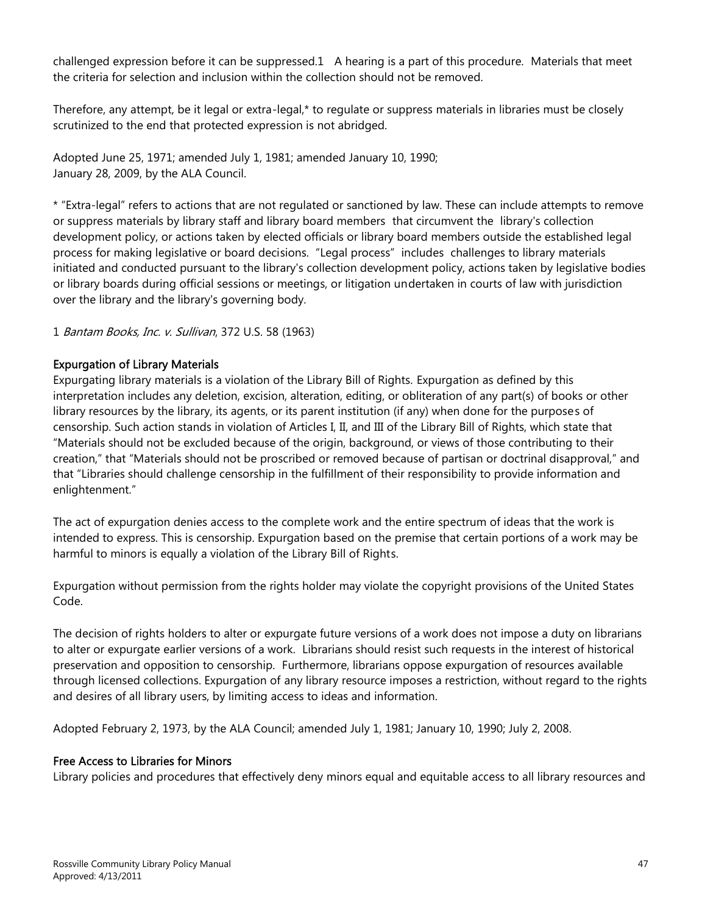challenged expression before it can be suppressed.1 A hearing is a part of this procedure. Materials that meet the criteria for selection and inclusion within the collection should not be removed.

Therefore, any attempt, be it legal or extra-legal,\* to regulate or suppress materials in libraries must be closely scrutinized to the end that protected expression is not abridged.

Adopted June 25, 1971; amended July 1, 1981; amended January 10, 1990; January 28, 2009, by the ALA Council.

\* "Extra-legal" refers to actions that are not regulated or sanctioned by law. These can include attempts to remove or suppress materials by library staff and library board members that circumvent the library's collection development policy, or actions taken by elected officials or library board members outside the established legal process for making legislative or board decisions. "Legal process" includes challenges to library materials initiated and conducted pursuant to the library's collection development policy, actions taken by legislative bodies or library boards during official sessions or meetings, or litigation undertaken in courts of law with jurisdiction over the library and the library's governing body.

#### 1 *Bantam Books, Inc. v. Sullivan*, 372 U.S. 58 (1963)

# **Expurgation of Library Materials**

Expurgating library materials is a violation of the Library Bill of Rights. Expurgation as defined by this interpretation includes any deletion, excision, alteration, editing, or obliteration of any part(s) of books or other library resources by the library, its agents, or its parent institution (if any) when done for the purposes of censorship. Such action stands in violation of Articles I, II, and III of the Library Bill of Rights, which state that "Materials should not be excluded because of the origin, background, or views of those contributing to their creation," that "Materials should not be proscribed or removed because of partisan or doctrinal disapproval," and that "Libraries should challenge censorship in the fulfillment of their responsibility to provide information and enlightenment."

The act of expurgation denies access to the complete work and the entire spectrum of ideas that the work is intended to express. This is censorship. Expurgation based on the premise that certain portions of a work may be harmful to minors is equally a violation of the Library Bill of Rights.

Expurgation without permission from the rights holder may violate the copyright provisions of the United States Code.

The decision of rights holders to alter or expurgate future versions of a work does not impose a duty on librarians to alter or expurgate earlier versions of a work. Librarians should resist such requests in the interest of historical preservation and opposition to censorship. Furthermore, librarians oppose expurgation of resources available through licensed collections. Expurgation of any library resource imposes a restriction, without regard to the rights and desires of all library users, by limiting access to ideas and information.

Adopted February 2, 1973, by the ALA Council; amended July 1, 1981; January 10, 1990; July 2, 2008.

#### **Free Access to Libraries for Minors**

Library policies and procedures that effectively deny minors equal and equitable access to all library resources and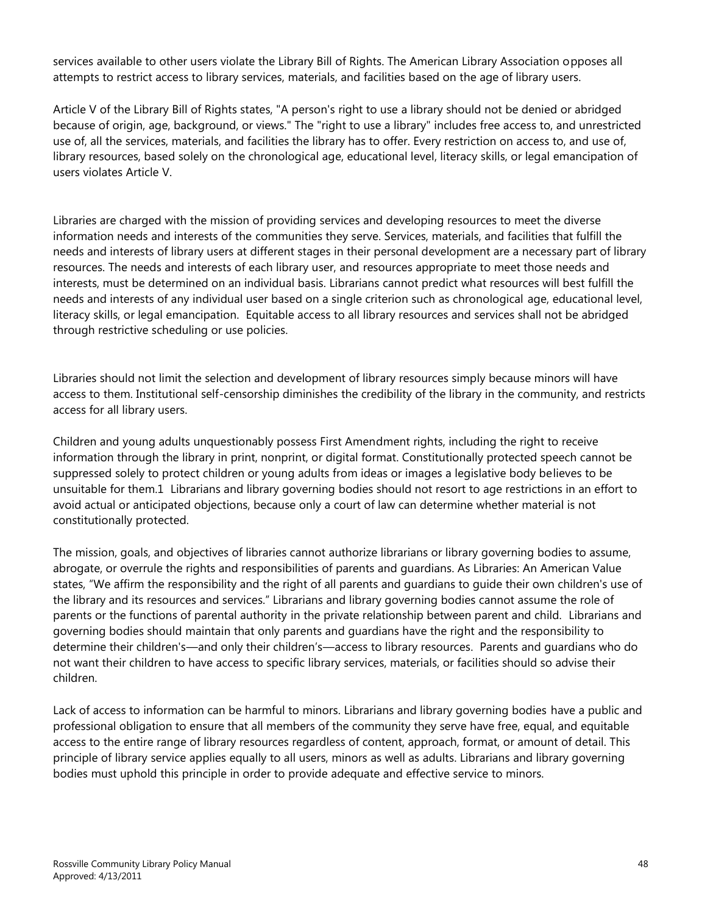services available to other users violate the Library Bill of Rights. The American Library Association opposes all attempts to restrict access to library services, materials, and facilities based on the age of library users.

Article V of the Library Bill of Rights states, "A person's right to use a library should not be denied or abridged because of origin, age, background, or views." The "right to use a library" includes free access to, and unrestricted use of, all the services, materials, and facilities the library has to offer. Every restriction on access to, and use of, library resources, based solely on the chronological age, educational level, literacy skills, or legal emancipation of users violates Article V.

Libraries are charged with the mission of providing services and developing resources to meet the diverse information needs and interests of the communities they serve. Services, materials, and facilities that fulfill the needs and interests of library users at different stages in their personal development are a necessary part of library resources. The needs and interests of each library user, and resources appropriate to meet those needs and interests, must be determined on an individual basis. Librarians cannot predict what resources will best fulfill the needs and interests of any individual user based on a single criterion such as chronological age, educational level, literacy skills, or legal emancipation. Equitable access to all library resources and services shall not be abridged through restrictive scheduling or use policies.

Libraries should not limit the selection and development of library resources simply because minors will have access to them. Institutional self-censorship diminishes the credibility of the library in the community, and restricts access for all library users.

Children and young adults unquestionably possess First Amendment rights, including the right to receive information through the library in print, nonprint, or digital format. Constitutionally protected speech cannot be suppressed solely to protect children or young adults from ideas or images a legislative body believes to be unsuitable for them.1 Librarians and library governing bodies should not resort to age restrictions in an effort to avoid actual or anticipated objections, because only a court of law can determine whether material is not constitutionally protected.

The mission, goals, and objectives of libraries cannot authorize librarians or library governing bodies to assume, abrogate, or overrule the rights and responsibilities of parents and guardians. As Libraries: An American Value states, "We affirm the responsibility and the right of all parents and guardians to guide their own children's use of the library and its resources and services." Librarians and library governing bodies cannot assume the role of parents or the functions of parental authority in the private relationship between parent and child. Librarians and governing bodies should maintain that only parents and guardians have the right and the responsibility to determine their children's—and only their children's—access to library resources. Parents and guardians who do not want their children to have access to specific library services, materials, or facilities should so advise their children.

Lack of access to information can be harmful to minors. Librarians and library governing bodies have a public and professional obligation to ensure that all members of the community they serve have free, equal, and equitable access to the entire range of library resources regardless of content, approach, format, or amount of detail. This principle of library service applies equally to all users, minors as well as adults. Librarians and library governing bodies must uphold this principle in order to provide adequate and effective service to minors.